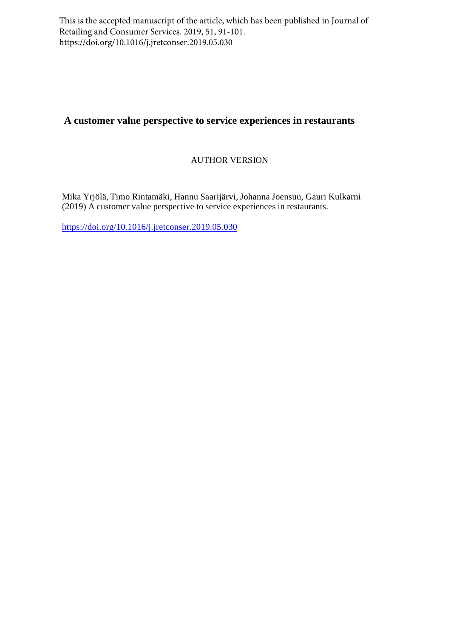This is the accepted manuscript of the article, which has been published in Journal of Retailing and Consumer Services. 2019, 51, 91-101. https://doi.org/10.1016/j.jretconser.2019.05.030

# **A customer value perspective to service experiences in restaurants**

# AUTHOR VERSION

Mika Yrjölä, Timo Rintamäki, Hannu Saarijärvi, Johanna Joensuu, Gauri Kulkarni (2019) A customer value perspective to service experiences in restaurants.

https://doi.org/10.1016/j.jretconser.2019.05.030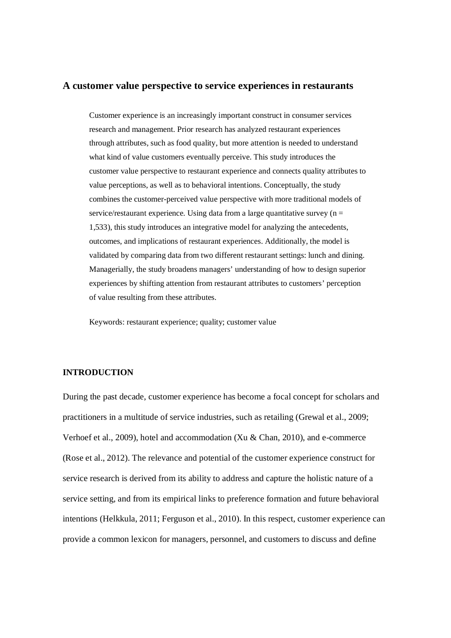#### **A customer value perspective to service experiences in restaurants**

Customer experience is an increasingly important construct in consumer services research and management. Prior research has analyzed restaurant experiences through attributes, such as food quality, but more attention is needed to understand what kind of value customers eventually perceive. This study introduces the customer value perspective to restaurant experience and connects quality attributes to value perceptions, as well as to behavioral intentions. Conceptually, the study combines the customer-perceived value perspective with more traditional models of service/restaurant experience. Using data from a large quantitative survey ( $n =$ 1,533), this study introduces an integrative model for analyzing the antecedents, outcomes, and implications of restaurant experiences. Additionally, the model is validated by comparing data from two different restaurant settings: lunch and dining. Managerially, the study broadens managers' understanding of how to design superior experiences by shifting attention from restaurant attributes to customers' perception of value resulting from these attributes.

Keywords: restaurant experience; quality; customer value

#### **INTRODUCTION**

During the past decade, customer experience has become a focal concept for scholars and practitioners in a multitude of service industries, such as retailing (Grewal et al., 2009; Verhoef et al., 2009), hotel and accommodation (Xu & Chan, 2010), and e-commerce (Rose et al., 2012). The relevance and potential of the customer experience construct for service research is derived from its ability to address and capture the holistic nature of a service setting, and from its empirical links to preference formation and future behavioral intentions (Helkkula, 2011; Ferguson et al., 2010). In this respect, customer experience can provide a common lexicon for managers, personnel, and customers to discuss and define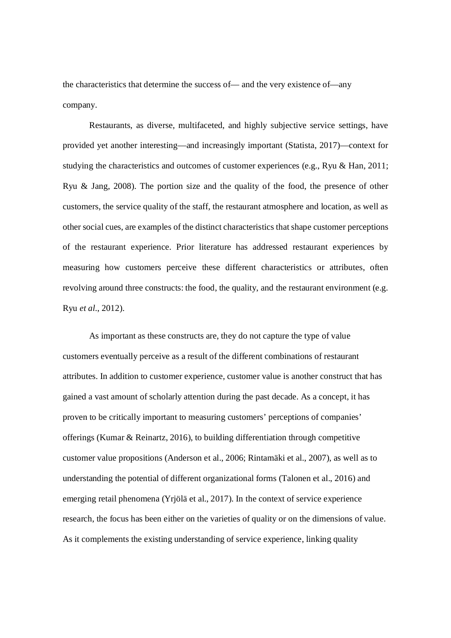the characteristics that determine the success of— and the very existence of—any company.

Restaurants, as diverse, multifaceted, and highly subjective service settings, have provided yet another interesting—and increasingly important (Statista, 2017)—context for studying the characteristics and outcomes of customer experiences (e.g., Ryu & Han, 2011; Ryu & Jang, 2008). The portion size and the quality of the food, the presence of other customers, the service quality of the staff, the restaurant atmosphere and location, as well as other social cues, are examples of the distinct characteristics that shape customer perceptions of the restaurant experience. Prior literature has addressed restaurant experiences by measuring how customers perceive these different characteristics or attributes, often revolving around three constructs: the food, the quality, and the restaurant environment (e.g. Ryu *et al.*, 2012).

As important as these constructs are, they do not capture the type of value customers eventually perceive as a result of the different combinations of restaurant attributes. In addition to customer experience, customer value is another construct that has gained a vast amount of scholarly attention during the past decade. As a concept, it has proven to be critically important to measuring customers' perceptions of companies' offerings (Kumar & Reinartz, 2016), to building differentiation through competitive customer value propositions (Anderson et al., 2006; Rintamäki et al., 2007), as well as to understanding the potential of different organizational forms (Talonen et al., 2016) and emerging retail phenomena (Yrjölä et al., 2017). In the context of service experience research, the focus has been either on the varieties of quality or on the dimensions of value. As it complements the existing understanding of service experience, linking quality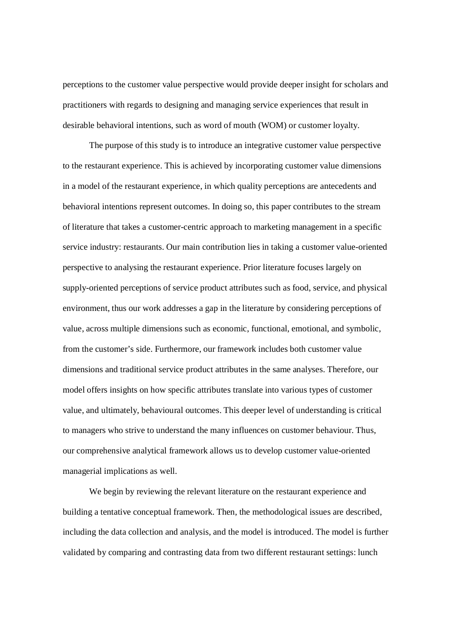perceptions to the customer value perspective would provide deeper insight for scholars and practitioners with regards to designing and managing service experiences that result in desirable behavioral intentions, such as word of mouth (WOM) or customer loyalty.

The purpose of this study is to introduce an integrative customer value perspective to the restaurant experience. This is achieved by incorporating customer value dimensions in a model of the restaurant experience, in which quality perceptions are antecedents and behavioral intentions represent outcomes. In doing so, this paper contributes to the stream of literature that takes a customer-centric approach to marketing management in a specific service industry: restaurants. Our main contribution lies in taking a customer value-oriented perspective to analysing the restaurant experience. Prior literature focuses largely on supply-oriented perceptions of service product attributes such as food, service, and physical environment, thus our work addresses a gap in the literature by considering perceptions of value, across multiple dimensions such as economic, functional, emotional, and symbolic, from the customer's side. Furthermore, our framework includes both customer value dimensions and traditional service product attributes in the same analyses. Therefore, our model offers insights on how specific attributes translate into various types of customer value, and ultimately, behavioural outcomes. This deeper level of understanding is critical to managers who strive to understand the many influences on customer behaviour. Thus, our comprehensive analytical framework allows us to develop customer value-oriented managerial implications as well.

We begin by reviewing the relevant literature on the restaurant experience and building a tentative conceptual framework. Then, the methodological issues are described, including the data collection and analysis, and the model is introduced. The model is further validated by comparing and contrasting data from two different restaurant settings: lunch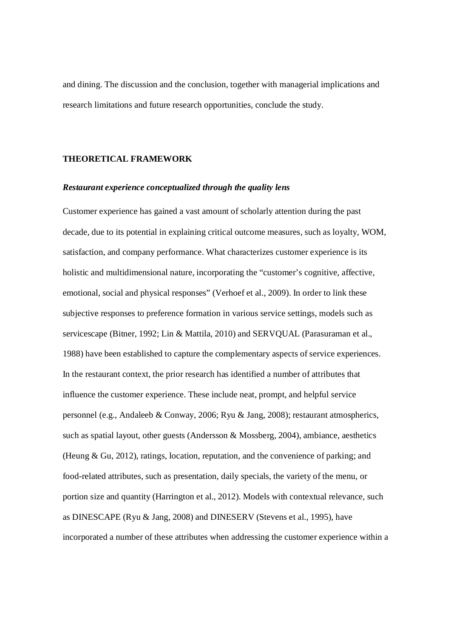and dining. The discussion and the conclusion, together with managerial implications and research limitations and future research opportunities, conclude the study.

## **THEORETICAL FRAMEWORK**

#### *Restaurant experience conceptualized through the quality lens*

Customer experience has gained a vast amount of scholarly attention during the past decade, due to its potential in explaining critical outcome measures, such as loyalty, WOM, satisfaction, and company performance. What characterizes customer experience is its holistic and multidimensional nature, incorporating the "customer's cognitive, affective, emotional, social and physical responses" (Verhoef et al., 2009). In order to link these subjective responses to preference formation in various service settings, models such as servicescape (Bitner, 1992; Lin & Mattila, 2010) and SERVQUAL (Parasuraman et al., 1988) have been established to capture the complementary aspects of service experiences. In the restaurant context, the prior research has identified a number of attributes that influence the customer experience. These include neat, prompt, and helpful service personnel (e.g., Andaleeb & Conway, 2006; Ryu & Jang, 2008); restaurant atmospherics, such as spatial layout, other guests (Andersson & Mossberg, 2004), ambiance, aesthetics (Heung & Gu, 2012), ratings, location, reputation, and the convenience of parking; and food-related attributes, such as presentation, daily specials, the variety of the menu, or portion size and quantity (Harrington et al., 2012). Models with contextual relevance, such as DINESCAPE (Ryu & Jang, 2008) and DINESERV (Stevens et al., 1995), have incorporated a number of these attributes when addressing the customer experience within a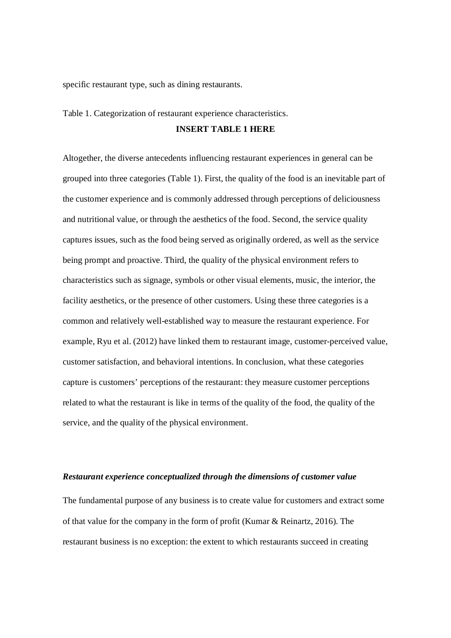specific restaurant type, such as dining restaurants.

Table 1. Categorization of restaurant experience characteristics.

# **INSERT TABLE 1 HERE**

Altogether, the diverse antecedents influencing restaurant experiences in general can be grouped into three categories (Table 1). First, the quality of the food is an inevitable part of the customer experience and is commonly addressed through perceptions of deliciousness and nutritional value, or through the aesthetics of the food. Second, the service quality captures issues, such as the food being served as originally ordered, as well as the service being prompt and proactive. Third, the quality of the physical environment refers to characteristics such as signage, symbols or other visual elements, music, the interior, the facility aesthetics, or the presence of other customers. Using these three categories is a common and relatively well-established way to measure the restaurant experience. For example, Ryu et al. (2012) have linked them to restaurant image, customer-perceived value, customer satisfaction, and behavioral intentions. In conclusion, what these categories capture is customers' perceptions of the restaurant: they measure customer perceptions related to what the restaurant is like in terms of the quality of the food, the quality of the service, and the quality of the physical environment.

#### *Restaurant experience conceptualized through the dimensions of customer value*

The fundamental purpose of any business is to create value for customers and extract some of that value for the company in the form of profit (Kumar & Reinartz, 2016). The restaurant business is no exception: the extent to which restaurants succeed in creating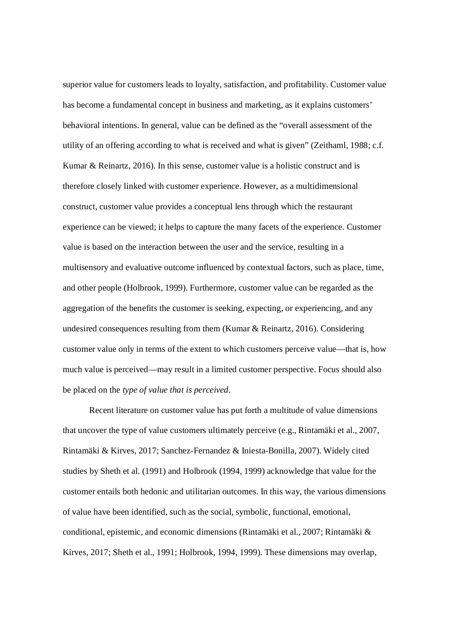superior value for customers leads to loyalty, satisfaction, and profitability. Customer value has become a fundamental concept in business and marketing, as it explains customers' behavioral intentions. In general, value can be defined as the "overall assessment of the utility of an offering according to what is received and what is given" (Zeithaml, 1988; c.f. Kumar & Reinartz, 2016). In this sense, customer value is a holistic construct and is therefore closely linked with customer experience. However, as a multidimensional construct, customer value provides a conceptual lens through which the restaurant experience can be viewed; it helps to capture the many facets of the experience. Customer value is based on the interaction between the user and the service, resulting in a multisensory and evaluative outcome influenced by contextual factors, such as place, time, and other people (Holbrook, 1999). Furthermore, customer value can be regarded as the aggregation of the benefits the customer is seeking, expecting, or experiencing, and any undesired consequences resulting from them (Kumar & Reinartz, 2016). Considering customer value only in terms of the extent to which customers perceive value—that is, how much value is perceived—may result in a limited customer perspective. Focus should also be placed on the *type of value that is perceived*.

Recent literature on customer value has put forth a multitude of value dimensions that uncover the type of value customers ultimately perceive (e.g., Rintamäki et al., 2007, Rintamäki & Kirves, 2017; Sanchez-Fernandez & Iniesta-Bonilla, 2007). Widely cited studies by Sheth et al. (1991) and Holbrook (1994, 1999) acknowledge that value for the customer entails both hedonic and utilitarian outcomes. In this way, the various dimensions of value have been identified, such as the social, symbolic, functional, emotional, conditional, epistemic, and economic dimensions (Rintamäki et al., 2007; Rintamäki & Kirves, 2017; Sheth et al., 1991; Holbrook, 1994, 1999). These dimensions may overlap,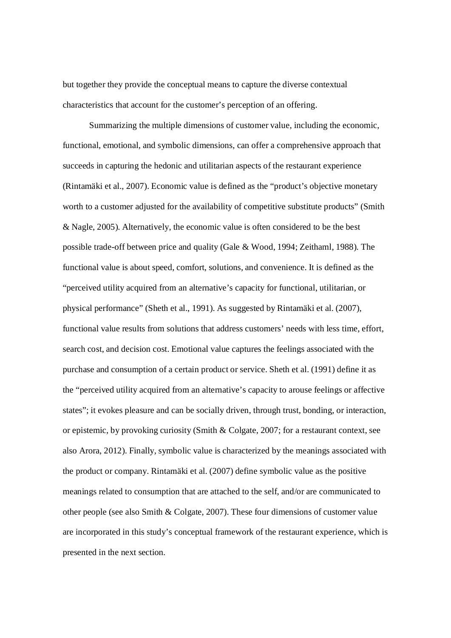but together they provide the conceptual means to capture the diverse contextual characteristics that account for the customer's perception of an offering.

Summarizing the multiple dimensions of customer value, including the economic, functional, emotional, and symbolic dimensions, can offer a comprehensive approach that succeeds in capturing the hedonic and utilitarian aspects of the restaurant experience (Rintamäki et al., 2007). Economic value is defined as the "product's objective monetary worth to a customer adjusted for the availability of competitive substitute products" (Smith & Nagle, 2005). Alternatively, the economic value is often considered to be the best possible trade-off between price and quality (Gale & Wood, 1994; Zeithaml, 1988). The functional value is about speed, comfort, solutions, and convenience. It is defined as the "perceived utility acquired from an alternative's capacity for functional, utilitarian, or physical performance" (Sheth et al., 1991). As suggested by Rintamäki et al. (2007), functional value results from solutions that address customers' needs with less time, effort, search cost, and decision cost. Emotional value captures the feelings associated with the purchase and consumption of a certain product or service. Sheth et al. (1991) define it as the "perceived utility acquired from an alternative's capacity to arouse feelings or affective states"; it evokes pleasure and can be socially driven, through trust, bonding, or interaction, or epistemic, by provoking curiosity (Smith & Colgate, 2007; for a restaurant context, see also Arora, 2012). Finally, symbolic value is characterized by the meanings associated with the product or company. Rintamäki et al. (2007) define symbolic value as the positive meanings related to consumption that are attached to the self, and/or are communicated to other people (see also Smith & Colgate, 2007). These four dimensions of customer value are incorporated in this study's conceptual framework of the restaurant experience, which is presented in the next section.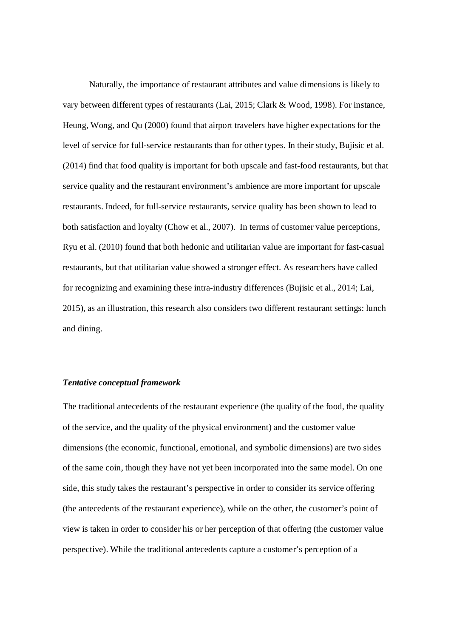Naturally, the importance of restaurant attributes and value dimensions is likely to vary between different types of restaurants (Lai, 2015; Clark & Wood, 1998). For instance, Heung, Wong, and Qu (2000) found that airport travelers have higher expectations for the level of service for full-service restaurants than for other types. In their study, Bujisic et al. (2014) find that food quality is important for both upscale and fast-food restaurants, but that service quality and the restaurant environment's ambience are more important for upscale restaurants. Indeed, for full-service restaurants, service quality has been shown to lead to both satisfaction and loyalty (Chow et al., 2007). In terms of customer value perceptions, Ryu et al. (2010) found that both hedonic and utilitarian value are important for fast-casual restaurants, but that utilitarian value showed a stronger effect. As researchers have called for recognizing and examining these intra-industry differences (Bujisic et al., 2014; Lai, 2015), as an illustration, this research also considers two different restaurant settings: lunch and dining.

#### *Tentative conceptual framework*

The traditional antecedents of the restaurant experience (the quality of the food, the quality of the service, and the quality of the physical environment) and the customer value dimensions (the economic, functional, emotional, and symbolic dimensions) are two sides of the same coin, though they have not yet been incorporated into the same model. On one side, this study takes the restaurant's perspective in order to consider its service offering (the antecedents of the restaurant experience), while on the other, the customer's point of view is taken in order to consider his or her perception of that offering (the customer value perspective). While the traditional antecedents capture a customer's perception of a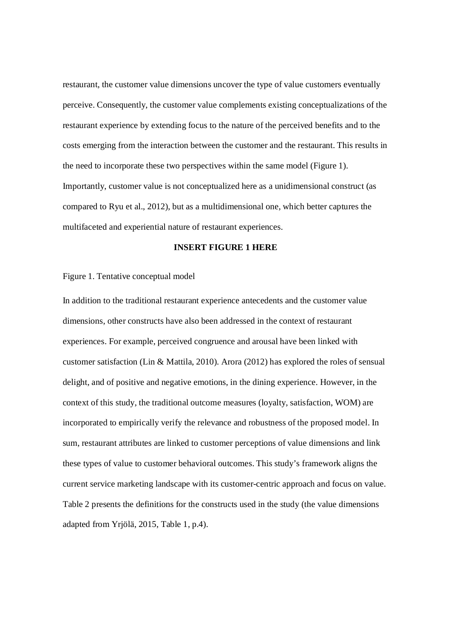restaurant, the customer value dimensions uncover the type of value customers eventually perceive. Consequently, the customer value complements existing conceptualizations of the restaurant experience by extending focus to the nature of the perceived benefits and to the costs emerging from the interaction between the customer and the restaurant. This results in the need to incorporate these two perspectives within the same model (Figure 1). Importantly, customer value is not conceptualized here as a unidimensional construct (as compared to Ryu et al., 2012), but as a multidimensional one, which better captures the multifaceted and experiential nature of restaurant experiences.

#### **INSERT FIGURE 1 HERE**

#### Figure 1. Tentative conceptual model

In addition to the traditional restaurant experience antecedents and the customer value dimensions, other constructs have also been addressed in the context of restaurant experiences. For example, perceived congruence and arousal have been linked with customer satisfaction (Lin & Mattila, 2010). Arora (2012) has explored the roles of sensual delight, and of positive and negative emotions, in the dining experience. However, in the context of this study, the traditional outcome measures (loyalty, satisfaction, WOM) are incorporated to empirically verify the relevance and robustness of the proposed model. In sum, restaurant attributes are linked to customer perceptions of value dimensions and link these types of value to customer behavioral outcomes. This study's framework aligns the current service marketing landscape with its customer-centric approach and focus on value. Table 2 presents the definitions for the constructs used in the study (the value dimensions adapted from Yrjölä, 2015, Table 1, p.4).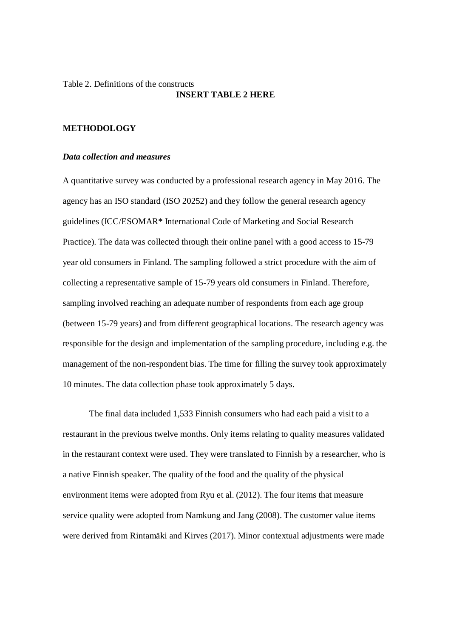# Table 2. Definitions of the constructs **INSERT TABLE 2 HERE**

# **METHODOLOGY**

# *Data collection and measures*

A quantitative survey was conducted by a professional research agency in May 2016. The agency has an ISO standard (ISO 20252) and they follow the general research agency guidelines (ICC/ESOMAR\* International Code of Marketing and Social Research Practice). The data was collected through their online panel with a good access to 15-79 year old consumers in Finland. The sampling followed a strict procedure with the aim of collecting a representative sample of 15-79 years old consumers in Finland. Therefore, sampling involved reaching an adequate number of respondents from each age group (between 15-79 years) and from different geographical locations. The research agency was responsible for the design and implementation of the sampling procedure, including e.g. the management of the non-respondent bias. The time for filling the survey took approximately 10 minutes. The data collection phase took approximately 5 days.

The final data included 1,533 Finnish consumers who had each paid a visit to a restaurant in the previous twelve months. Only items relating to quality measures validated in the restaurant context were used. They were translated to Finnish by a researcher, who is a native Finnish speaker. The quality of the food and the quality of the physical environment items were adopted from Ryu et al. (2012). The four items that measure service quality were adopted from Namkung and Jang (2008). The customer value items were derived from Rintamäki and Kirves (2017). Minor contextual adjustments were made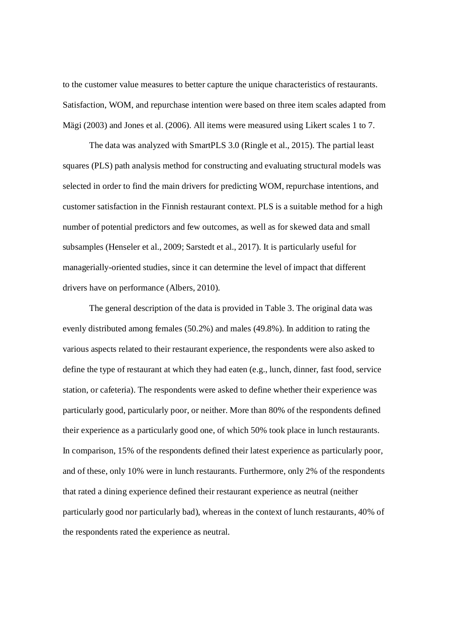to the customer value measures to better capture the unique characteristics of restaurants. Satisfaction, WOM, and repurchase intention were based on three item scales adapted from Mägi (2003) and Jones et al. (2006). All items were measured using Likert scales 1 to 7.

The data was analyzed with SmartPLS 3.0 (Ringle et al., 2015). The partial least squares (PLS) path analysis method for constructing and evaluating structural models was selected in order to find the main drivers for predicting WOM, repurchase intentions, and customer satisfaction in the Finnish restaurant context. PLS is a suitable method for a high number of potential predictors and few outcomes, as well as for skewed data and small subsamples (Henseler et al., 2009; Sarstedt et al., 2017). It is particularly useful for managerially-oriented studies, since it can determine the level of impact that different drivers have on performance (Albers, 2010).

The general description of the data is provided in Table 3. The original data was evenly distributed among females (50.2%) and males (49.8%). In addition to rating the various aspects related to their restaurant experience, the respondents were also asked to define the type of restaurant at which they had eaten (e.g., lunch, dinner, fast food, service station, or cafeteria). The respondents were asked to define whether their experience was particularly good, particularly poor, or neither. More than 80% of the respondents defined their experience as a particularly good one, of which 50% took place in lunch restaurants. In comparison, 15% of the respondents defined their latest experience as particularly poor, and of these, only 10% were in lunch restaurants. Furthermore, only 2% of the respondents that rated a dining experience defined their restaurant experience as neutral (neither particularly good nor particularly bad), whereas in the context of lunch restaurants, 40% of the respondents rated the experience as neutral.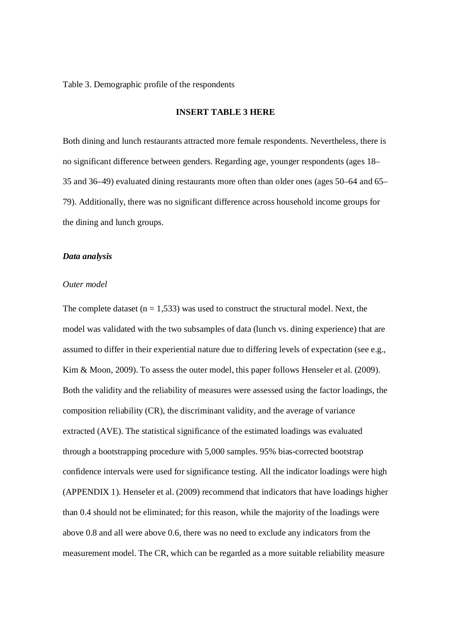Table 3. Demographic profile of the respondents

### **INSERT TABLE 3 HERE**

Both dining and lunch restaurants attracted more female respondents. Nevertheless, there is no significant difference between genders. Regarding age, younger respondents (ages 18– 35 and 36–49) evaluated dining restaurants more often than older ones (ages 50–64 and 65– 79). Additionally, there was no significant difference across household income groups for the dining and lunch groups.

#### *Data analysis*

#### *Outer model*

The complete dataset  $(n = 1.533)$  was used to construct the structural model. Next, the model was validated with the two subsamples of data (lunch vs. dining experience) that are assumed to differ in their experiential nature due to differing levels of expectation (see e.g., Kim & Moon, 2009). To assess the outer model, this paper follows Henseler et al. (2009). Both the validity and the reliability of measures were assessed using the factor loadings, the composition reliability (CR), the discriminant validity, and the average of variance extracted (AVE). The statistical significance of the estimated loadings was evaluated through a bootstrapping procedure with 5,000 samples. 95% bias-corrected bootstrap confidence intervals were used for significance testing. All the indicator loadings were high (APPENDIX 1). Henseler et al. (2009) recommend that indicators that have loadings higher than 0.4 should not be eliminated; for this reason, while the majority of the loadings were above 0.8 and all were above 0.6, there was no need to exclude any indicators from the measurement model. The CR, which can be regarded as a more suitable reliability measure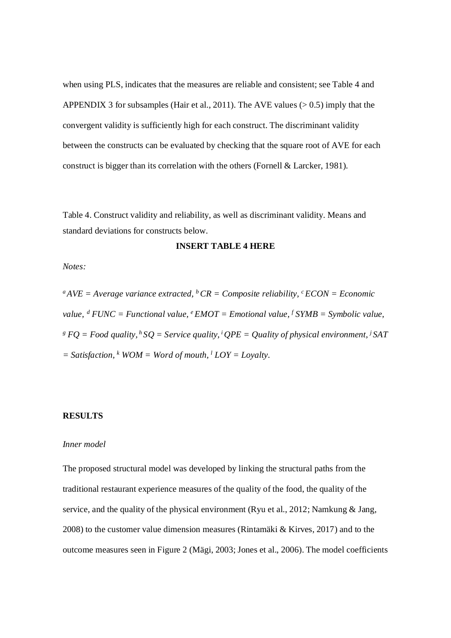when using PLS, indicates that the measures are reliable and consistent; see Table 4 and APPENDIX 3 for subsamples (Hair et al., 2011). The AVE values ( $> 0.5$ ) imply that the convergent validity is sufficiently high for each construct. The discriminant validity between the constructs can be evaluated by checking that the square root of AVE for each construct is bigger than its correlation with the others (Fornell & Larcker, 1981).

Table 4. Construct validity and reliability, as well as discriminant validity. Means and standard deviations for constructs below.

## **INSERT TABLE 4 HERE**

*Notes:*

 $^{a}$ *AVE* = *Average variance extracted,*  $^{b}$ *CR* = *Composite reliability,*  $^{c}$ *ECON* = *Economic value,<sup>d</sup> FUNC = Functional value, <sup>e</sup> EMOT = Emotional value, <sup>f</sup> SYMB = Symbolic value, g FQ = Food quality,<sup>h</sup> SQ = Service quality,<sup>i</sup> QPE = Quality of physical environment, <sup>j</sup> SAT*  $=$  Satisfaction,  $\frac{k}{WOM}$  = Word of mouth,  $\frac{l}{LOY}$  = Loyalty.

## **RESULTS**

#### *Inner model*

The proposed structural model was developed by linking the structural paths from the traditional restaurant experience measures of the quality of the food, the quality of the service, and the quality of the physical environment (Ryu et al., 2012; Namkung & Jang, 2008) to the customer value dimension measures (Rintamäki & Kirves, 2017) and to the outcome measures seen in Figure 2 (Mägi, 2003; Jones et al., 2006). The model coefficients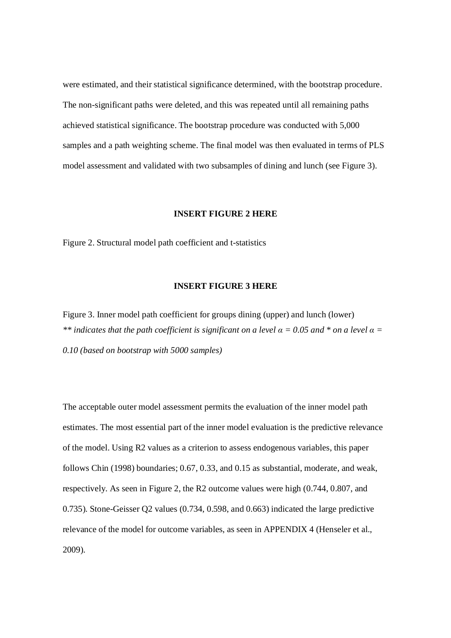were estimated, and their statistical significance determined, with the bootstrap procedure. The non-significant paths were deleted, and this was repeated until all remaining paths achieved statistical significance. The bootstrap procedure was conducted with 5,000 samples and a path weighting scheme. The final model was then evaluated in terms of PLS model assessment and validated with two subsamples of dining and lunch (see Figure 3).

## **INSERT FIGURE 2 HERE**

Figure 2. Structural model path coefficient and t-statistics

## **INSERT FIGURE 3 HERE**

Figure 3. Inner model path coefficient for groups dining (upper) and lunch (lower) *\*\* indicates that the path coefficient is significant on a level*  $\alpha$  *= 0.05 and \* on a level*  $\alpha$  *= 0.10 (based on bootstrap with 5000 samples)*

The acceptable outer model assessment permits the evaluation of the inner model path estimates. The most essential part of the inner model evaluation is the predictive relevance of the model. Using R2 values as a criterion to assess endogenous variables, this paper follows Chin (1998) boundaries; 0.67, 0.33, and 0.15 as substantial, moderate, and weak, respectively. As seen in Figure 2, the R2 outcome values were high (0.744, 0.807, and 0.735). Stone-Geisser Q2 values (0.734, 0.598, and 0.663) indicated the large predictive relevance of the model for outcome variables, as seen in APPENDIX 4 (Henseler et al., 2009).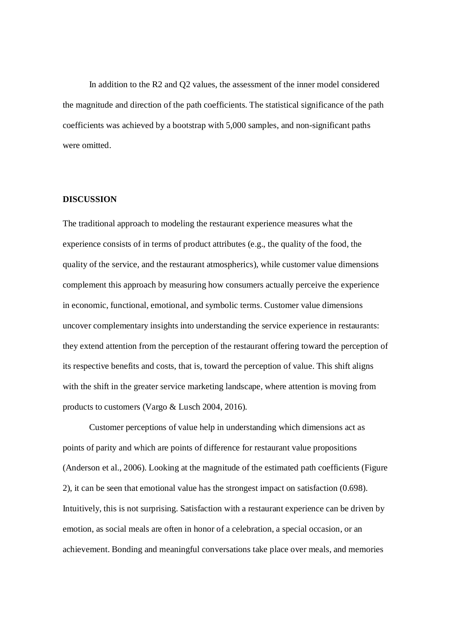In addition to the R2 and Q2 values, the assessment of the inner model considered the magnitude and direction of the path coefficients. The statistical significance of the path coefficients was achieved by a bootstrap with 5,000 samples, and non-significant paths were omitted.

#### **DISCUSSION**

The traditional approach to modeling the restaurant experience measures what the experience consists of in terms of product attributes (e.g., the quality of the food, the quality of the service, and the restaurant atmospherics), while customer value dimensions complement this approach by measuring how consumers actually perceive the experience in economic, functional, emotional, and symbolic terms. Customer value dimensions uncover complementary insights into understanding the service experience in restaurants: they extend attention from the perception of the restaurant offering toward the perception of its respective benefits and costs, that is, toward the perception of value. This shift aligns with the shift in the greater service marketing landscape, where attention is moving from products to customers (Vargo & Lusch 2004, 2016).

Customer perceptions of value help in understanding which dimensions act as points of parity and which are points of difference for restaurant value propositions (Anderson et al., 2006). Looking at the magnitude of the estimated path coefficients (Figure 2), it can be seen that emotional value has the strongest impact on satisfaction (0.698). Intuitively, this is not surprising. Satisfaction with a restaurant experience can be driven by emotion, as social meals are often in honor of a celebration, a special occasion, or an achievement. Bonding and meaningful conversations take place over meals, and memories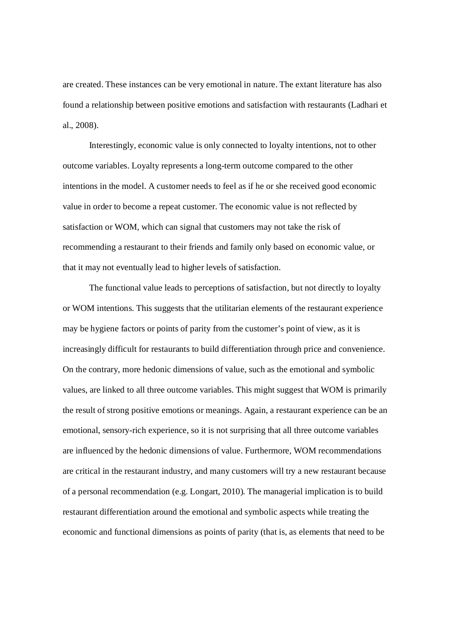are created. These instances can be very emotional in nature. The extant literature has also found a relationship between positive emotions and satisfaction with restaurants (Ladhari et al., 2008).

Interestingly, economic value is only connected to loyalty intentions, not to other outcome variables. Loyalty represents a long-term outcome compared to the other intentions in the model. A customer needs to feel as if he or she received good economic value in order to become a repeat customer. The economic value is not reflected by satisfaction or WOM, which can signal that customers may not take the risk of recommending a restaurant to their friends and family only based on economic value, or that it may not eventually lead to higher levels of satisfaction.

The functional value leads to perceptions of satisfaction, but not directly to loyalty or WOM intentions. This suggests that the utilitarian elements of the restaurant experience may be hygiene factors or points of parity from the customer's point of view, as it is increasingly difficult for restaurants to build differentiation through price and convenience. On the contrary, more hedonic dimensions of value, such as the emotional and symbolic values, are linked to all three outcome variables. This might suggest that WOM is primarily the result of strong positive emotions or meanings. Again, a restaurant experience can be an emotional, sensory-rich experience, so it is not surprising that all three outcome variables are influenced by the hedonic dimensions of value. Furthermore, WOM recommendations are critical in the restaurant industry, and many customers will try a new restaurant because of a personal recommendation (e.g. Longart, 2010). The managerial implication is to build restaurant differentiation around the emotional and symbolic aspects while treating the economic and functional dimensions as points of parity (that is, as elements that need to be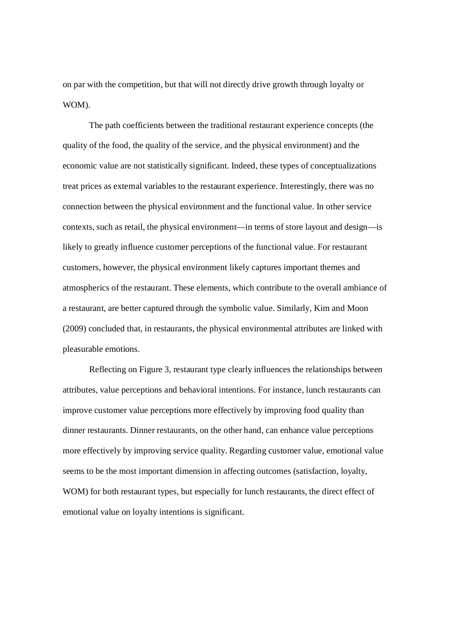on par with the competition, but that will not directly drive growth through loyalty or WOM).

The path coefficients between the traditional restaurant experience concepts (the quality of the food, the quality of the service, and the physical environment) and the economic value are not statistically significant. Indeed, these types of conceptualizations treat prices as external variables to the restaurant experience. Interestingly, there was no connection between the physical environment and the functional value. In other service contexts, such as retail, the physical environment—in terms of store layout and design—is likely to greatly influence customer perceptions of the functional value. For restaurant customers, however, the physical environment likely captures important themes and atmospherics of the restaurant. These elements, which contribute to the overall ambiance of a restaurant, are better captured through the symbolic value. Similarly, Kim and Moon (2009) concluded that, in restaurants, the physical environmental attributes are linked with pleasurable emotions.

Reflecting on Figure 3, restaurant type clearly influences the relationships between attributes, value perceptions and behavioral intentions. For instance, lunch restaurants can improve customer value perceptions more effectively by improving food quality than dinner restaurants. Dinner restaurants, on the other hand, can enhance value perceptions more effectively by improving service quality. Regarding customer value, emotional value seems to be the most important dimension in affecting outcomes (satisfaction, loyalty, WOM) for both restaurant types, but especially for lunch restaurants, the direct effect of emotional value on loyalty intentions is significant.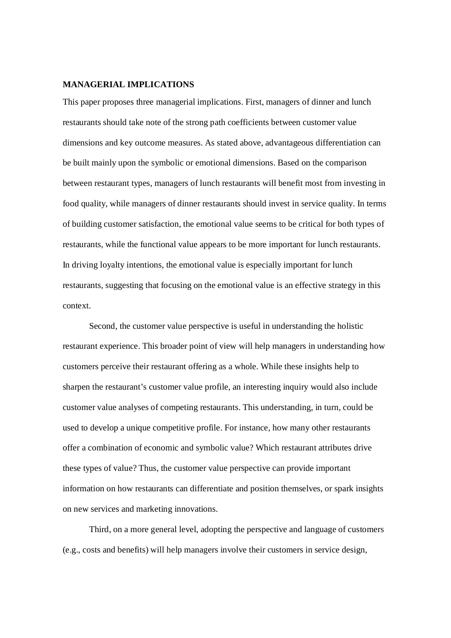## **MANAGERIAL IMPLICATIONS**

This paper proposes three managerial implications. First, managers of dinner and lunch restaurants should take note of the strong path coefficients between customer value dimensions and key outcome measures. As stated above, advantageous differentiation can be built mainly upon the symbolic or emotional dimensions. Based on the comparison between restaurant types, managers of lunch restaurants will benefit most from investing in food quality, while managers of dinner restaurants should invest in service quality. In terms of building customer satisfaction, the emotional value seems to be critical for both types of restaurants, while the functional value appears to be more important for lunch restaurants. In driving loyalty intentions, the emotional value is especially important for lunch restaurants, suggesting that focusing on the emotional value is an effective strategy in this context.

Second, the customer value perspective is useful in understanding the holistic restaurant experience. This broader point of view will help managers in understanding how customers perceive their restaurant offering as a whole. While these insights help to sharpen the restaurant's customer value profile, an interesting inquiry would also include customer value analyses of competing restaurants. This understanding, in turn, could be used to develop a unique competitive profile. For instance, how many other restaurants offer a combination of economic and symbolic value? Which restaurant attributes drive these types of value? Thus, the customer value perspective can provide important information on how restaurants can differentiate and position themselves, or spark insights on new services and marketing innovations.

Third, on a more general level, adopting the perspective and language of customers (e.g., costs and benefits) will help managers involve their customers in service design,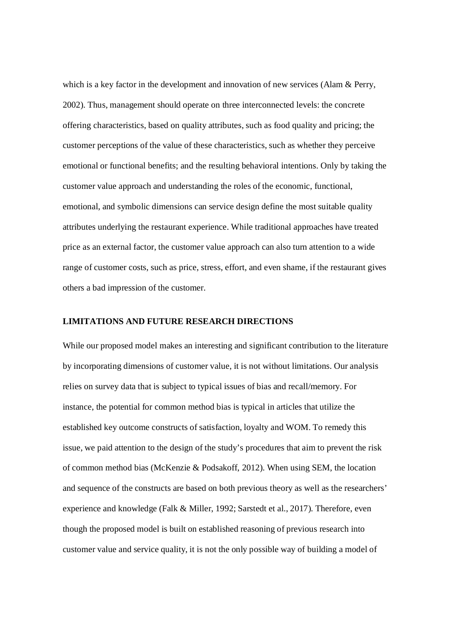which is a key factor in the development and innovation of new services (Alam & Perry, 2002). Thus, management should operate on three interconnected levels: the concrete offering characteristics, based on quality attributes, such as food quality and pricing; the customer perceptions of the value of these characteristics, such as whether they perceive emotional or functional benefits; and the resulting behavioral intentions. Only by taking the customer value approach and understanding the roles of the economic, functional, emotional, and symbolic dimensions can service design define the most suitable quality attributes underlying the restaurant experience. While traditional approaches have treated price as an external factor, the customer value approach can also turn attention to a wide range of customer costs, such as price, stress, effort, and even shame, if the restaurant gives others a bad impression of the customer.

#### **LIMITATIONS AND FUTURE RESEARCH DIRECTIONS**

While our proposed model makes an interesting and significant contribution to the literature by incorporating dimensions of customer value, it is not without limitations. Our analysis relies on survey data that is subject to typical issues of bias and recall/memory. For instance, the potential for common method bias is typical in articles that utilize the established key outcome constructs of satisfaction, loyalty and WOM. To remedy this issue, we paid attention to the design of the study's procedures that aim to prevent the risk of common method bias (McKenzie & Podsakoff, 2012). When using SEM, the location and sequence of the constructs are based on both previous theory as well as the researchers' experience and knowledge (Falk & Miller, 1992; Sarstedt et al., 2017). Therefore, even though the proposed model is built on established reasoning of previous research into customer value and service quality, it is not the only possible way of building a model of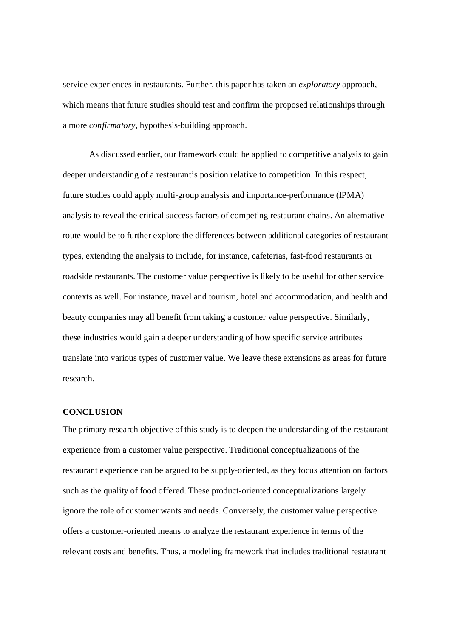service experiences in restaurants. Further, this paper has taken an *exploratory* approach, which means that future studies should test and confirm the proposed relationships through a more *confirmatory*, hypothesis-building approach.

As discussed earlier, our framework could be applied to competitive analysis to gain deeper understanding of a restaurant's position relative to competition. In this respect, future studies could apply multi-group analysis and importance-performance (IPMA) analysis to reveal the critical success factors of competing restaurant chains. An alternative route would be to further explore the differences between additional categories of restaurant types, extending the analysis to include, for instance, cafeterias, fast-food restaurants or roadside restaurants. The customer value perspective is likely to be useful for other service contexts as well. For instance, travel and tourism, hotel and accommodation, and health and beauty companies may all benefit from taking a customer value perspective. Similarly, these industries would gain a deeper understanding of how specific service attributes translate into various types of customer value. We leave these extensions as areas for future research.

### **CONCLUSION**

The primary research objective of this study is to deepen the understanding of the restaurant experience from a customer value perspective. Traditional conceptualizations of the restaurant experience can be argued to be supply-oriented, as they focus attention on factors such as the quality of food offered. These product-oriented conceptualizations largely ignore the role of customer wants and needs. Conversely, the customer value perspective offers a customer-oriented means to analyze the restaurant experience in terms of the relevant costs and benefits. Thus, a modeling framework that includes traditional restaurant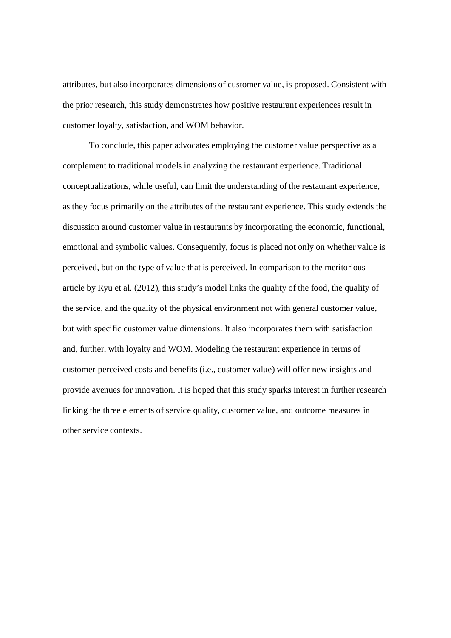attributes, but also incorporates dimensions of customer value, is proposed. Consistent with the prior research, this study demonstrates how positive restaurant experiences result in customer loyalty, satisfaction, and WOM behavior.

To conclude, this paper advocates employing the customer value perspective as a complement to traditional models in analyzing the restaurant experience. Traditional conceptualizations, while useful, can limit the understanding of the restaurant experience, as they focus primarily on the attributes of the restaurant experience. This study extends the discussion around customer value in restaurants by incorporating the economic, functional, emotional and symbolic values. Consequently, focus is placed not only on whether value is perceived, but on the type of value that is perceived. In comparison to the meritorious article by Ryu et al. (2012), this study's model links the quality of the food, the quality of the service, and the quality of the physical environment not with general customer value, but with specific customer value dimensions. It also incorporates them with satisfaction and, further, with loyalty and WOM. Modeling the restaurant experience in terms of customer-perceived costs and benefits (i.e., customer value) will offer new insights and provide avenues for innovation. It is hoped that this study sparks interest in further research linking the three elements of service quality, customer value, and outcome measures in other service contexts.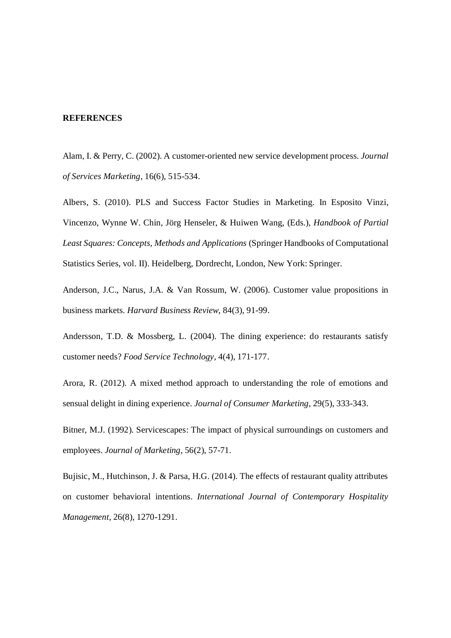#### **REFERENCES**

Alam, I. & Perry, C. (2002). A customer-oriented new service development process. *Journal of Services Marketing*, 16(6), 515-534.

Albers, S. (2010). PLS and Success Factor Studies in Marketing. In Esposito Vinzi, Vincenzo, Wynne W. Chin, Jörg Henseler, & Huiwen Wang, (Eds.), *Handbook of Partial Least Squares: Concepts, Methods and Applications* (Springer Handbooks of Computational Statistics Series, vol. II). Heidelberg, Dordrecht, London, New York: Springer.

Anderson, J.C., Narus, J.A. & Van Rossum, W. (2006). Customer value propositions in business markets. *Harvard Business Review*, 84(3), 91-99.

Andersson, T.D. & Mossberg, L. (2004). The dining experience: do restaurants satisfy customer needs? *Food Service Technology*, 4(4), 171-177.

Arora, R. (2012). A mixed method approach to understanding the role of emotions and sensual delight in dining experience. *Journal of Consumer Marketing*, 29(5), 333-343.

Bitner, M.J. (1992). Servicescapes: The impact of physical surroundings on customers and employees. *Journal of Marketing,* 56(2), 57-71.

Bujisic, M., Hutchinson, J. & Parsa, H.G. (2014). The effects of restaurant quality attributes on customer behavioral intentions. *International Journal of Contemporary Hospitality Management*, 26(8), 1270-1291.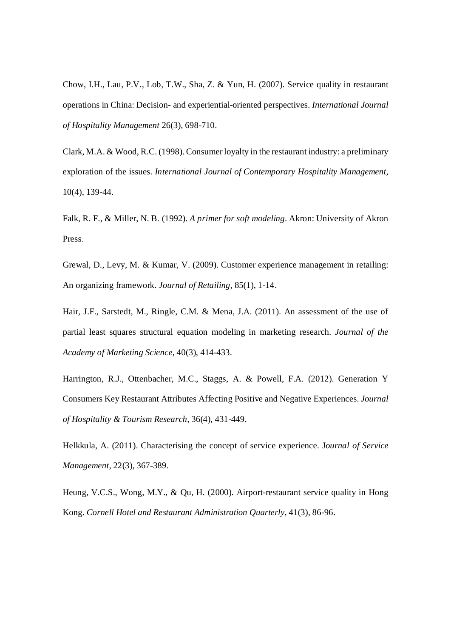Chow, I.H., Lau, P.V., Lob, T.W., Sha, Z. & Yun, H. (2007). Service quality in restaurant operations in China: Decision- and experiential-oriented perspectives. *International Journal of Hospitality Management* 26(3), 698-710.

Clark, M.A. & Wood, R.C. (1998). Consumer loyalty in the restaurant industry: a preliminary exploration of the issues. *International Journal of Contemporary Hospitality Management*, 10(4), 139-44.

Falk, R. F., & Miller, N. B. (1992). *A primer for soft modeling*. Akron: University of Akron Press.

Grewal, D., Levy, M. & Kumar, V. (2009). Customer experience management in retailing: An organizing framework. *Journal of Retailing,* 85(1), 1-14.

Hair, J.F., Sarstedt, M., Ringle, C.M. & Mena, J.A. (2011). An assessment of the use of partial least squares structural equation modeling in marketing research. *Journal of the Academy of Marketing Science*, 40(3), 414-433.

Harrington, R.J., Ottenbacher, M.C., Staggs, A. & Powell, F.A. (2012). Generation Y Consumers Key Restaurant Attributes Affecting Positive and Negative Experiences. *Journal of Hospitality & Tourism Research*, 36(4), 431-449.

Helkkula, A. (2011). Characterising the concept of service experience. J*ournal of Service Management*, 22(3), 367-389.

Heung, V.C.S., Wong, M.Y., & Qu, H. (2000). Airport-restaurant service quality in Hong Kong. *Cornell Hotel and Restaurant Administration Quarterly*, 41(3), 86-96.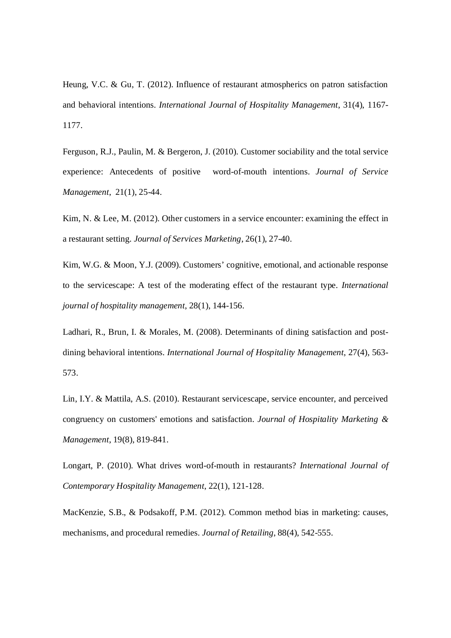Heung, V.C. & Gu, T. (2012). Influence of restaurant atmospherics on patron satisfaction and behavioral intentions. *International Journal of Hospitality Management*, 31(4), 1167- 1177.

Ferguson, R.J., Paulin, M. & Bergeron, J. (2010). Customer sociability and the total service experience: Antecedents of positive word‐of‐mouth intentions. *Journal of Service Management*, 21(1), 25-44.

Kim, N. & Lee, M. (2012). Other customers in a service encounter: examining the effect in a restaurant setting. *Journal of Services Marketing*, 26(1), 27-40.

Kim, W.G. & Moon, Y.J. (2009). Customers' cognitive, emotional, and actionable response to the servicescape: A test of the moderating effect of the restaurant type. *International journal of hospitality management*, 28(1), 144-156.

Ladhari, R., Brun, I. & Morales, M. (2008). Determinants of dining satisfaction and postdining behavioral intentions. *International Journal of Hospitality Management*, 27(4), 563- 573.

Lin, I.Y. & Mattila, A.S. (2010). Restaurant servicescape, service encounter, and perceived congruency on customers' emotions and satisfaction. *Journal of Hospitality Marketing & Management*, 19(8), 819-841.

Longart, P. (2010). What drives word-of-mouth in restaurants? *International Journal of Contemporary Hospitality Management*, 22(1), 121-128.

MacKenzie, S.B., & Podsakoff, P.M. (2012). Common method bias in marketing: causes, mechanisms, and procedural remedies. *Journal of Retailing*, 88(4), 542-555.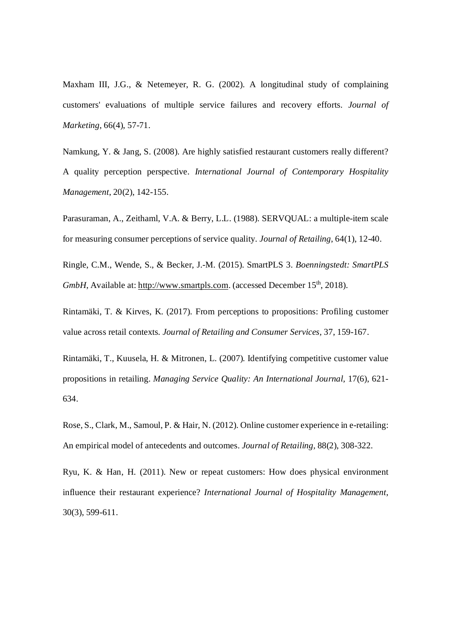Maxham III, J.G., & Netemeyer, R. G. (2002). A longitudinal study of complaining customers' evaluations of multiple service failures and recovery efforts. *Journal of Marketing*, 66(4), 57-71.

Namkung, Y. & Jang, S. (2008). Are highly satisfied restaurant customers really different? A quality perception perspective. *International Journal of Contemporary Hospitality Management*, 20(2), 142-155.

Parasuraman, A., Zeithaml, V.A. & Berry, L.L. (1988). SERVQUAL: a multiple-item scale for measuring consumer perceptions of service quality. *Journal of Retailing*, 64(1), 12-40.

Ringle, C.M., Wende, S., & Becker, J.-M. (2015). SmartPLS 3. *Boenningstedt: SmartPLS GmbH*, Available at: http://www.smartpls.com. (accessed December 15<sup>th</sup>, 2018).

Rintamäki, T. & Kirves, K. (2017). From perceptions to propositions: Profiling customer value across retail contexts. *Journal of Retailing and Consumer Services,* 37, 159-167.

Rintamäki, T., Kuusela, H. & Mitronen, L. (2007). Identifying competitive customer value propositions in retailing. *Managing Service Quality: An International Journal,* 17(6), 621- 634.

Rose, S., Clark, M., Samoul, P. & Hair, N. (2012). Online customer experience in e-retailing: An empirical model of antecedents and outcomes. *Journal of Retailing,* 88(2), 308-322.

Ryu, K. & Han, H. (2011). New or repeat customers: How does physical environment influence their restaurant experience? *International Journal of Hospitality Management*, 30(3), 599-611.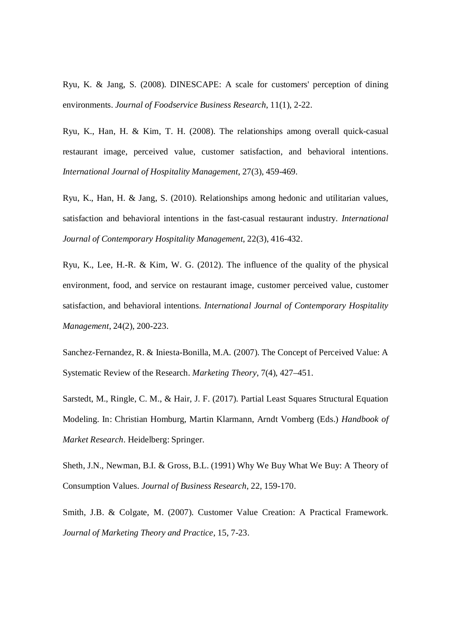Ryu, K. & Jang, S. (2008). DINESCAPE: A scale for customers' perception of dining environments. *Journal of Foodservice Business Research*, 11(1), 2-22.

Ryu, K., Han, H. & Kim, T. H. (2008). The relationships among overall quick-casual restaurant image, perceived value, customer satisfaction, and behavioral intentions. *International Journal of Hospitality Management*, 27(3), 459-469.

Ryu, K., Han, H. & Jang, S. (2010). Relationships among hedonic and utilitarian values, satisfaction and behavioral intentions in the fast-casual restaurant industry. *International Journal of Contemporary Hospitality Management*, 22(3), 416-432.

Ryu, K., Lee, H.-R. & Kim, W. G. (2012). The influence of the quality of the physical environment, food, and service on restaurant image, customer perceived value, customer satisfaction, and behavioral intentions. *International Journal of Contemporary Hospitality Management*, 24(2), 200-223.

Sanchez-Fernandez, R. & Iniesta-Bonilla, M.A. (2007). The Concept of Perceived Value: A Systematic Review of the Research. *Marketing Theory*, 7(4), 427–451.

Sarstedt, M., Ringle, C. M., & Hair, J. F. (2017). Partial Least Squares Structural Equation Modeling. In: Christian Homburg, Martin Klarmann, Arndt Vomberg (Eds.) *Handbook of Market Research*. Heidelberg: Springer.

Sheth, J.N., Newman, B.I. & Gross, B.L. (1991) Why We Buy What We Buy: A Theory of Consumption Values. *Journal of Business Research*, 22, 159-170.

Smith, J.B. & Colgate, M. (2007). Customer Value Creation: A Practical Framework. *Journal of Marketing Theory and Practice*, 15, 7-23.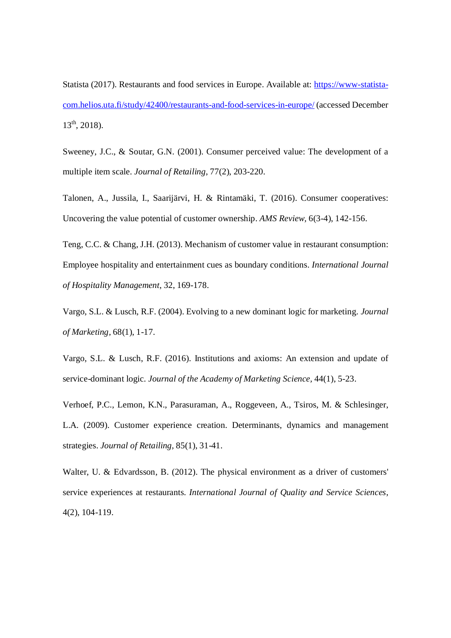Statista (2017). Restaurants and food services in Europe. Available at: https://www-statistacom.helios.uta.fi/study/42400/restaurants-and-food-services-in-europe/ (accessed December  $13<sup>th</sup>$ , 2018).

Sweeney, J.C., & Soutar, G.N. (2001). Consumer perceived value: The development of a multiple item scale. *Journal of Retailing*, 77(2), 203-220.

Talonen, A., Jussila, I., Saarijärvi, H. & Rintamäki, T. (2016). Consumer cooperatives: Uncovering the value potential of customer ownership. *AMS Review,* 6(3-4), 142-156.

Teng, C.C. & Chang, J.H. (2013). Mechanism of customer value in restaurant consumption: Employee hospitality and entertainment cues as boundary conditions. *International Journal of Hospitality Management*, 32, 169-178.

Vargo, S.L. & Lusch, R.F. (2004). Evolving to a new dominant logic for marketing. *Journal of Marketing,* 68(1), 1-17.

Vargo, S.L. & Lusch, R.F. (2016). Institutions and axioms: An extension and update of service-dominant logic. *Journal of the Academy of Marketing Science,* 44(1), 5-23.

Verhoef, P.C., Lemon, K.N., Parasuraman, A., Roggeveen, A., Tsiros, M. & Schlesinger, L.A. (2009). Customer experience creation. Determinants, dynamics and management strategies. *Journal of Retailing,* 85(1), 31-41.

Walter, U. & Edvardsson, B. (2012). The physical environment as a driver of customers' service experiences at restaurants. *International Journal of Quality and Service Sciences*, 4(2), 104-119.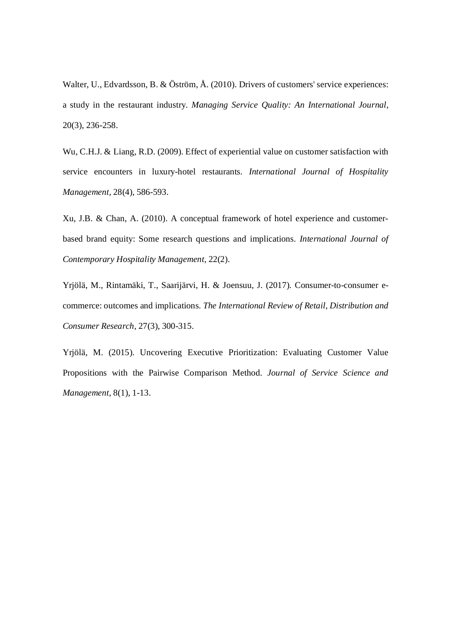Walter, U., Edvardsson, B. & Öström, Å. (2010). Drivers of customers' service experiences: a study in the restaurant industry. *Managing Service Quality: An International Journal*, 20(3), 236-258.

Wu, C.H.J. & Liang, R.D. (2009). Effect of experiential value on customer satisfaction with service encounters in luxury-hotel restaurants. *International Journal of Hospitality Management*, 28(4), 586-593.

Xu, J.B. & Chan, A. (2010). A conceptual framework of hotel experience and customerbased brand equity: Some research questions and implications. *International Journal of Contemporary Hospitality Management,* 22(2).

Yrjölä, M., Rintamäki, T., Saarijärvi, H. & Joensuu, J. (2017). Consumer-to-consumer ecommerce: outcomes and implications. *The International Review of Retail, Distribution and Consumer Research,* 27(3), 300-315.

Yrjölä, M. (2015). Uncovering Executive Prioritization: Evaluating Customer Value Propositions with the Pairwise Comparison Method. *Journal of Service Science and Management*, 8(1), 1-13.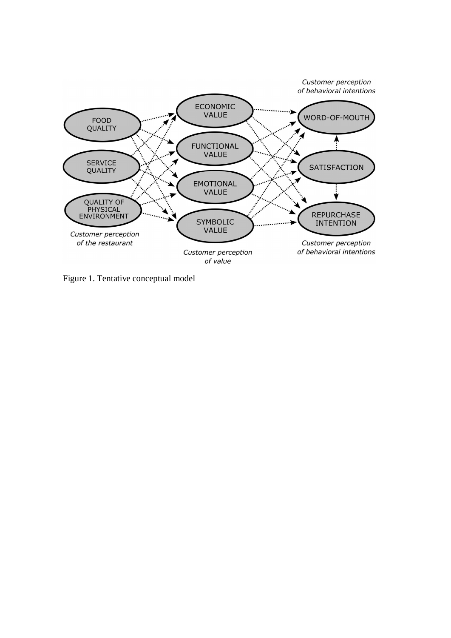

Figure 1. Tentative conceptual model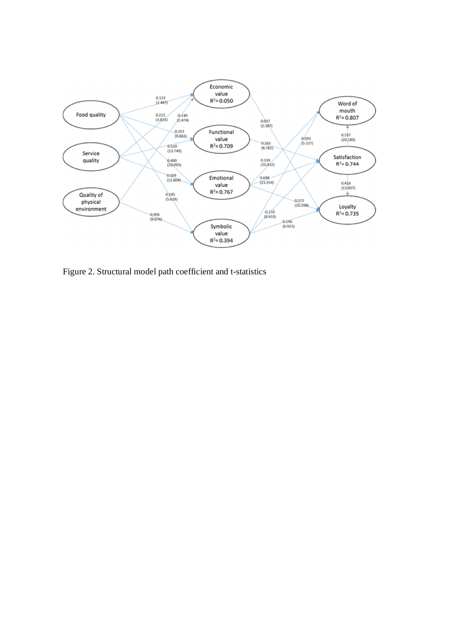

Figure 2. Structural model path coefficient and t-statistics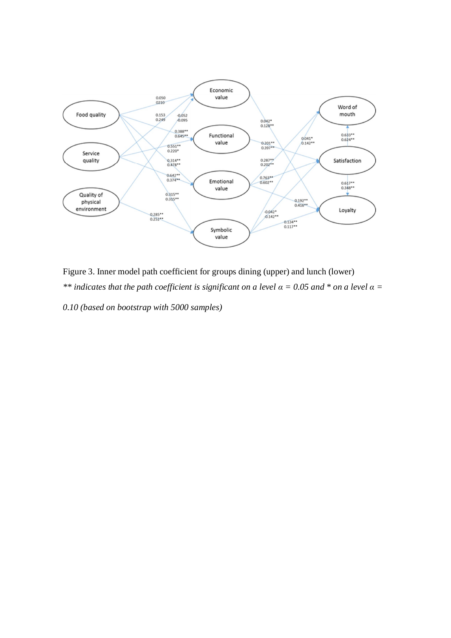

Figure 3. Inner model path coefficient for groups dining (upper) and lunch (lower) *\*\* indicates that the path coefficient is significant on a level*  $\alpha$  *= 0.05 and \* on a level*  $\alpha$  *= 0.10 (based on bootstrap with 5000 samples)*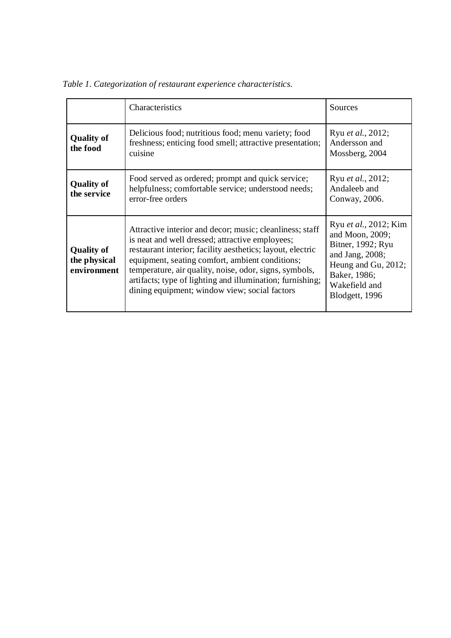|                                                  | Characteristics                                                                                                                                                                                                                                                                                                                                                                                      | Sources                                                                                                                                                       |
|--------------------------------------------------|------------------------------------------------------------------------------------------------------------------------------------------------------------------------------------------------------------------------------------------------------------------------------------------------------------------------------------------------------------------------------------------------------|---------------------------------------------------------------------------------------------------------------------------------------------------------------|
| <b>Quality of</b><br>the food                    | Delicious food; nutritious food; menu variety; food<br>freshness; enticing food smell; attractive presentation;<br>cuisine                                                                                                                                                                                                                                                                           | Ryu et al., 2012;<br>Andersson and<br>Mossberg, 2004                                                                                                          |
| <b>Quality of</b><br>the service                 | Food served as ordered; prompt and quick service;<br>helpfulness; comfortable service; understood needs;<br>error-free orders                                                                                                                                                                                                                                                                        | Ryu et al., 2012;<br>Andaleeb and<br>Conway, 2006.                                                                                                            |
| <b>Quality of</b><br>the physical<br>environment | Attractive interior and decor; music; cleanliness; staff<br>is neat and well dressed; attractive employees;<br>restaurant interior; facility aesthetics; layout, electric<br>equipment, seating comfort, ambient conditions;<br>temperature, air quality, noise, odor, signs, symbols,<br>artifacts; type of lighting and illumination; furnishing;<br>dining equipment; window view; social factors | Ryu et al., 2012; Kim<br>and Moon, 2009;<br>Bitner, 1992; Ryu<br>and Jang, $2008$ ;<br>Heung and Gu, 2012;<br>Baker, 1986;<br>Wakefield and<br>Blodgett, 1996 |

*Table 1. Categorization of restaurant experience characteristics.*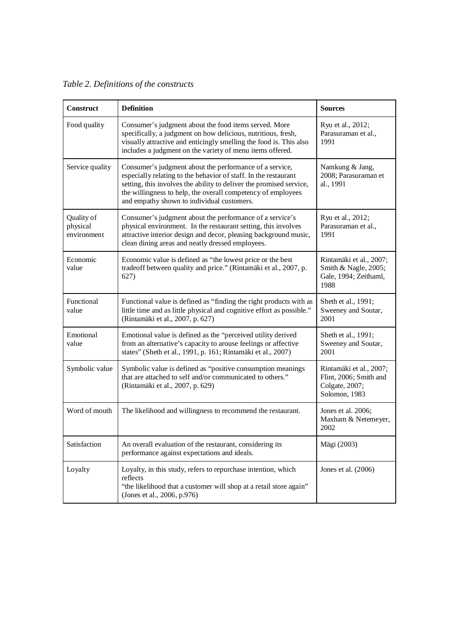*Table 2. Definitions of the constructs*

| <b>Construct</b>                      | <b>Definition</b>                                                                                                                                                                                                                                                                                               | <b>Sources</b>                                                                       |
|---------------------------------------|-----------------------------------------------------------------------------------------------------------------------------------------------------------------------------------------------------------------------------------------------------------------------------------------------------------------|--------------------------------------------------------------------------------------|
| Food quality                          | Consumer's judgment about the food items served. More<br>specifically, a judgment on how delicious, nutritious, fresh,<br>visually attractive and enticingly smelling the food is. This also<br>includes a judgment on the variety of menu items offered.                                                       | Ryu et al., 2012;<br>Parasuraman et al.,<br>1991                                     |
| Service quality                       | Consumer's judgment about the performance of a service,<br>especially relating to the behavior of staff. In the restaurant<br>setting, this involves the ability to deliver the promised service,<br>the willingness to help, the overall competency of employees<br>and empathy shown to individual customers. | Namkung & Jang,<br>2008; Parasuraman et<br>al., 1991                                 |
| Quality of<br>physical<br>environment | Consumer's judgment about the performance of a service's<br>physical environment. In the restaurant setting, this involves<br>attractive interior design and decor, pleasing background music,<br>clean dining areas and neatly dressed employees.                                                              | Ryu et al., 2012;<br>Parasuraman et al.,<br>1991                                     |
| Economic<br>value                     | Economic value is defined as "the lowest price or the best<br>tradeoff between quality and price." (Rintamäki et al., 2007, p.<br>627)                                                                                                                                                                          | Rintamäki et al., 2007;<br>Smith & Nagle, 2005;<br>Gale, 1994; Zeithaml,<br>1988     |
| Functional<br>value                   | Functional value is defined as "finding the right products with as<br>little time and as little physical and cognitive effort as possible."<br>(Rintamäki et al., 2007, p. 627)                                                                                                                                 | Sheth et al., 1991;<br>Sweeney and Soutar,<br>2001                                   |
| Emotional<br>value                    | Emotional value is defined as the "perceived utility derived<br>from an alternative's capacity to arouse feelings or affective<br>states" (Sheth et al., 1991, p. 161; Rintamäki et al., 2007)                                                                                                                  | Sheth et al., 1991;<br>Sweeney and Soutar,<br>2001                                   |
| Symbolic value                        | Symbolic value is defined as "positive consumption meanings"<br>that are attached to self and/or communicated to others."<br>(Rintamäki et al., 2007, p. 629)                                                                                                                                                   | Rintamäki et al., 2007;<br>Flint, 2006; Smith and<br>Colgate, 2007;<br>Solomon, 1983 |
| Word of mouth                         | The likelihood and willingness to recommend the restaurant.                                                                                                                                                                                                                                                     | Jones et al. 2006;<br>Maxham & Netemeyer,<br>2002                                    |
| Satisfaction                          | An overall evaluation of the restaurant, considering its<br>performance against expectations and ideals.                                                                                                                                                                                                        | Mägi (2003)                                                                          |
| Loyalty                               | Loyalty, in this study, refers to repurchase intention, which<br>reflects<br>"the likelihood that a customer will shop at a retail store again"<br>(Jones et al., 2006, p.976)                                                                                                                                  | Jones et al. (2006)                                                                  |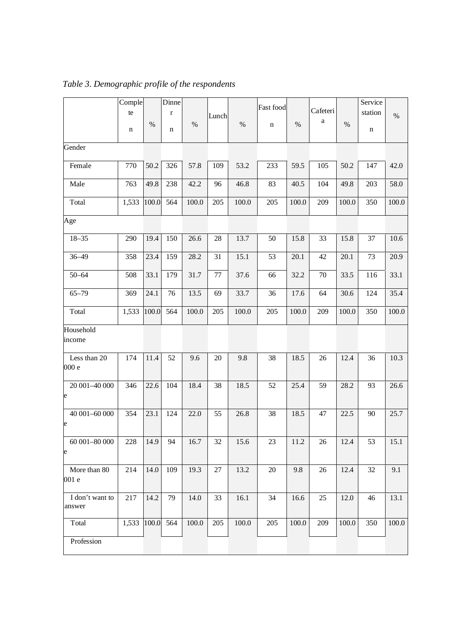|                                | Comple          |       | Dinne       |       |       |       | Fast food   |       |              |       | Service |       |
|--------------------------------|-----------------|-------|-------------|-------|-------|-------|-------------|-------|--------------|-------|---------|-------|
|                                | te              |       | $\mathbf r$ |       | Lunch |       |             |       | Cafeteri     |       | station | $\%$  |
|                                | n               | $\%$  | n           | $\%$  |       | $\%$  | $\mathbf n$ | $\%$  | $\mathbf{a}$ | $\%$  | n       |       |
|                                |                 |       |             |       |       |       |             |       |              |       |         |       |
| Gender                         |                 |       |             |       |       |       |             |       |              |       |         |       |
| Female                         | 770             | 50.2  | 326         | 57.8  | 109   | 53.2  | 233         | 59.5  | 105          | 50.2  | 147     | 42.0  |
| Male                           | 763             | 49.8  | 238         | 42.2  | 96    | 46.8  | 83          | 40.5  | 104          | 49.8  | 203     | 58.0  |
| Total                          | 1,533           | 100.0 | 564         | 100.0 | 205   | 100.0 | 205         | 100.0 | 209          | 100.0 | 350     | 100.0 |
| Age                            |                 |       |             |       |       |       |             |       |              |       |         |       |
| $18 - 35$                      | 290             | 19.4  | 150         | 26.6  | 28    | 13.7  | 50          | 15.8  | 33           | 15.8  | 37      | 10.6  |
| $36 - 49$                      | 358             | 23.4  | 159         | 28.2  | 31    | 15.1  | 53          | 20.1  | 42           | 20.1  | 73      | 20.9  |
| $50 - 64$                      | 508             | 33.1  | 179         | 31.7  | 77    | 37.6  | 66          | 32.2  | 70           | 33.5  | 116     | 33.1  |
| $65 - 79$                      | 369             | 24.1  | 76          | 13.5  | 69    | 33.7  | 36          | 17.6  | 64           | 30.6  | 124     | 35.4  |
| Total                          | 1,533           | 100.0 | 564         | 100.0 | 205   | 100.0 | 205         | 100.0 | 209          | 100.0 | 350     | 100.0 |
| Household<br>income            |                 |       |             |       |       |       |             |       |              |       |         |       |
| Less than 20                   | 174             | 11.4  | 52          | 9.6   | 20    | 9.8   | 38          | 18.5  | 26           | 12.4  | 36      | 10.3  |
| 000 e                          |                 |       |             |       |       |       |             |       |              |       |         |       |
| 20 001-40 000<br>$\mathsf{e}$  | 346             | 22.6  | 104         | 18.4  | 38    | 18.5  | 52          | 25.4  | 59           | 28.2  | 93      | 26.6  |
|                                |                 |       |             |       |       |       |             |       |              |       |         |       |
| 40 001-60 000<br>$\mathsf{e}$  | 354             | 23.1  | 124         | 22.0  | 55    | 26.8  | 38          | 18.5  | 47           | 22.5  | 90      | 25.7  |
| $60\,001\text{--}80\,000$<br>e | 228             | 14.9  | 94          | 16.7  | 32    | 15.6  | 23          | 11.2  | 26           | 12.4  | 53      | 15.1  |
| More than 80<br>001 e          | 214             | 14.0  | 109         | 19.3  | 27    | 13.2  | 20          | 9.8   | 26           | 12.4  | 32      | 9.1   |
| I don't want to<br>answer      | 217             | 14.2  | 79          | 14.0  | 33    | 16.1  | 34          | 16.6  | 25           | 12.0  | 46      | 13.1  |
| Total                          | 1,533 100.0 564 |       |             | 100.0 | 205   | 100.0 | 205         | 100.0 | 209          | 100.0 | 350     | 100.0 |
| Profession                     |                 |       |             |       |       |       |             |       |              |       |         |       |

*Table 3. Demographic profile of the respondents*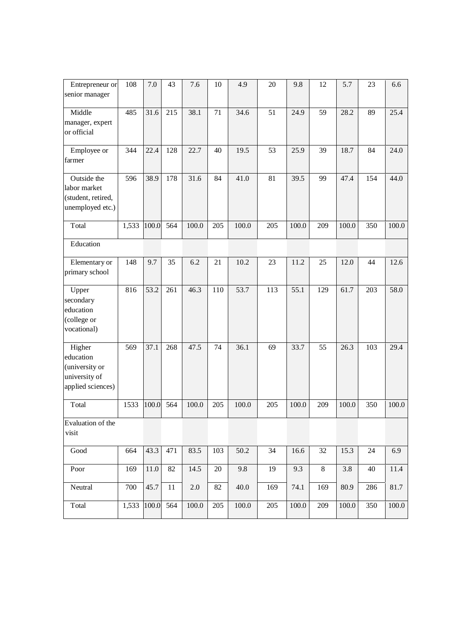| Entrepreneur or<br>senior manager                                           | 108   | 7.0   | 43  | 7.6       | 10  | 4.9   | 20  | 9.8   | 12  | 5.7   | 23  | 6.6   |
|-----------------------------------------------------------------------------|-------|-------|-----|-----------|-----|-------|-----|-------|-----|-------|-----|-------|
| Middle<br>manager, expert<br>or official                                    | 485   | 31.6  | 215 | 38.1      | 71  | 34.6  | 51  | 24.9  | 59  | 28.2  | 89  | 25.4  |
| Employee or<br>farmer                                                       | 344   | 22.4  | 128 | 22.7      | 40  | 19.5  | 53  | 25.9  | 39  | 18.7  | 84  | 24.0  |
| Outside the<br>labor market<br>(student, retired,<br>unemployed etc.)       | 596   | 38.9  | 178 | 31.6      | 84  | 41.0  | 81  | 39.5  | 99  | 47.4  | 154 | 44.0  |
| Total                                                                       | 1,533 | 100.0 | 564 | 100.0     | 205 | 100.0 | 205 | 100.0 | 209 | 100.0 | 350 | 100.0 |
| Education                                                                   |       |       |     |           |     |       |     |       |     |       |     |       |
| Elementary or<br>primary school                                             | 148   | 9.7   | 35  | 6.2       | 21  | 10.2  | 23  | 11.2  | 25  | 12.0  | 44  | 12.6  |
| Upper<br>secondary<br>education<br>(college or<br>vocational)               | 816   | 53.2  | 261 | 46.3      | 110 | 53.7  | 113 | 55.1  | 129 | 61.7  | 203 | 58.0  |
| Higher<br>education<br>(university or<br>university of<br>applied sciences) | 569   | 37.1  | 268 | 47.5      | 74  | 36.1  | 69  | 33.7  | 55  | 26.3  | 103 | 29.4  |
| Total                                                                       | 1533  | 100.0 | 564 | 100.0     | 205 | 100.0 | 205 | 100.0 | 209 | 100.0 | 350 | 100.0 |
| Evaluation of the<br>visit                                                  |       |       |     |           |     |       |     |       |     |       |     |       |
| Good                                                                        | 664   | 43.3  | 471 | 83.5      | 103 | 50.2  | 34  | 16.6  | 32  | 15.3  | 24  | 6.9   |
| Poor                                                                        | 169   | 11.0  | 82  | 14.5      | 20  | 9.8   | 19  | 9.3   | 8   | 3.8   | 40  | 11.4  |
| Neutral                                                                     | 700   | 45.7  | 11  | 2.0       | 82  | 40.0  | 169 | 74.1  | 169 | 80.9  | 286 | 81.7  |
| Total                                                                       | 1,533 | 100.0 | 564 | $100.0\,$ | 205 | 100.0 | 205 | 100.0 | 209 | 100.0 | 350 | 100.0 |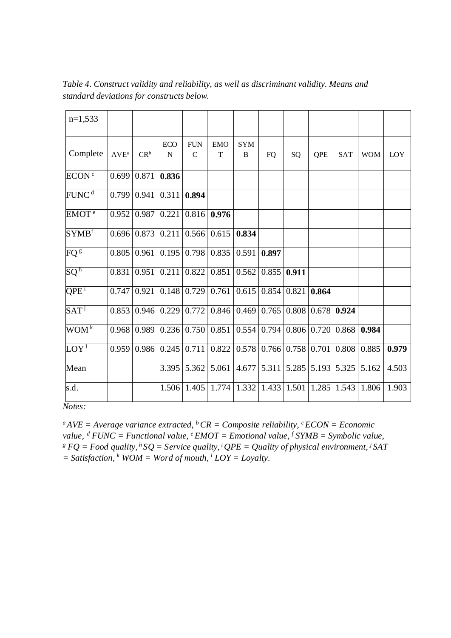| $n=1,533$                    |                             |                    |                           |                            |                           |                 |       |       |                                    |            |            |            |
|------------------------------|-----------------------------|--------------------|---------------------------|----------------------------|---------------------------|-----------------|-------|-------|------------------------------------|------------|------------|------------|
| Complete                     | $\mathbf{AVE}^{\mathrm{a}}$ | $CR^b$             | <b>ECO</b><br>$\mathbf N$ | <b>FUN</b><br>$\mathsf{C}$ | <b>EMO</b><br>$\mathbf T$ | <b>SYM</b><br>B | FQ    | SQ    | QPE                                | <b>SAT</b> | <b>WOM</b> | <b>LOY</b> |
| ECON <sup>c</sup>            |                             | $0.699$ 0.871      | 0.836                     |                            |                           |                 |       |       |                                    |            |            |            |
| FUNC <sup>d</sup>            |                             | 0.799 0.941        | 0.311                     | 0.894                      |                           |                 |       |       |                                    |            |            |            |
| EMOT <sup>e</sup>            |                             | $0.952 \mid 0.987$ | 0.221                     | 0.816                      | 0.976                     |                 |       |       |                                    |            |            |            |
| $\mathbf{SYMB}^\mathrm{f}$   |                             | $0.696 \mid 0.873$ | 0.211                     | 0.566                      | 0.615                     | 0.834           |       |       |                                    |            |            |            |
| FQ <sup>g</sup>              |                             | $0.805 \mid 0.961$ | 0.195                     | 0.798                      | 0.835                     | 0.591           | 0.897 |       |                                    |            |            |            |
| $\mathrm{SQ}^{\,\mathrm{h}}$ | 0.831                       | 0.951              | 0.211                     | 0.822                      | 0.851                     | 0.562           | 0.855 | 0.911 |                                    |            |            |            |
| $QPE^{\mathrm{i}}$           |                             | 0.747 0.921        | 0.148                     | 0.729                      | 0.761                     | 0.615           | 0.854 |       | $0.821$ 0.864                      |            |            |            |
| SAT <sup>j</sup>             |                             | 0.853   0.946      | 0.229                     | 0.772                      | 0.846                     | 0.469           | 0.765 |       | $0.808 \mid 0.678 \mid$            | 0.924      |            |            |
| $WOM^k$                      |                             | 0.968 0.989        |                           | 0.236   0.750              | 0.851                     | 0.554           | 0.794 |       | $0.806 \mid 0.720 \mid$            | 0.868      | 0.984      |            |
| $LOY^1$                      |                             | $0.959 \mid 0.986$ | 0.245                     | 0.711                      | 0.822                     | 0.578           |       |       | $0.766$ 0.758 0.701 0.808          |            | 0.885      | 0.979      |
| Mean                         |                             |                    | 3.395                     | 5.362                      | 5.061                     | 4.677           | 5.311 |       | 5.285 5.193 5.325                  |            | 5.162      | 4.503      |
| s.d.                         |                             |                    | 1.506                     | 1.405                      | 1.774                     | 1.332           |       |       | $1.433 \mid 1.501 \mid 1.285 \mid$ | 1.543      | 1.806      | 1.903      |
|                              |                             |                    |                           |                            |                           |                 |       |       |                                    |            |            |            |

*Table 4. Construct validity and reliability, as well as discriminant validity. Means and standard deviations for constructs below.*

*Notes:*

 $^{a}$ *AVE* = *Average variance extracted,*  $^{b}$ *CR* = *Composite reliability*,  $^{c}$ *ECON* = *Economic value,<sup>d</sup> FUNC = Functional value, <sup>e</sup> EMOT = Emotional value, <sup>f</sup> SYMB = Symbolic value, g FQ = Food quality,<sup>h</sup> SQ = Service quality,<sup>i</sup> QPE = Quality of physical environment, <sup>j</sup> SAT*  $=$  Satisfaction,  $\frac{k}{WOM}$  = Word of mouth,  $\frac{l}{LOY}$  = Loyalty.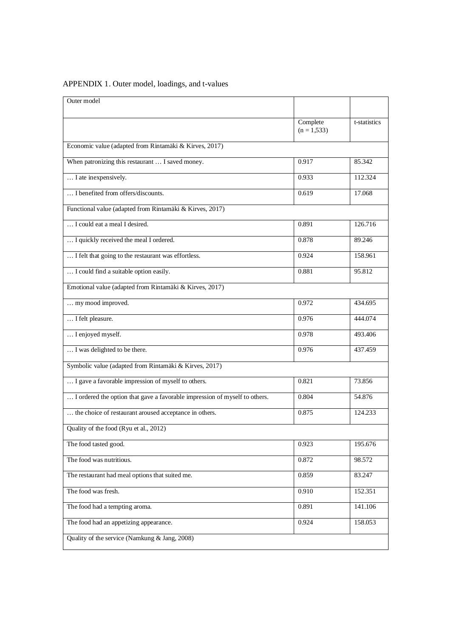| Outer model                                                                |                           |              |
|----------------------------------------------------------------------------|---------------------------|--------------|
|                                                                            | Complete<br>$(n = 1,533)$ | t-statistics |
| Economic value (adapted from Rintamäki & Kirves, 2017)                     |                           |              |
| When patronizing this restaurant  I saved money.                           | 0.917                     | 85.342       |
| I ate inexpensively.                                                       | 0.933                     | 112.324      |
| I benefited from offers/discounts.                                         | 0.619                     | 17.068       |
| Functional value (adapted from Rintamäki & Kirves, 2017)                   |                           |              |
| I could eat a meal I desired.                                              | 0.891                     | 126.716      |
| I quickly received the meal I ordered.                                     | 0.878                     | 89.246       |
| I felt that going to the restaurant was effortless.                        | 0.924                     | 158.961      |
| I could find a suitable option easily.                                     | 0.881                     | 95.812       |
| Emotional value (adapted from Rintamäki & Kirves, 2017)                    |                           |              |
| my mood improved.                                                          | 0.972                     | 434.695      |
| I felt pleasure.                                                           | 0.976                     | 444.074      |
| I enjoyed myself.                                                          | 0.978                     | 493.406      |
| I was delighted to be there.                                               | 0.976                     | 437.459      |
| Symbolic value (adapted from Rintamäki & Kirves, 2017)                     |                           |              |
| I gave a favorable impression of myself to others.                         | 0.821                     | 73.856       |
| I ordered the option that gave a favorable impression of myself to others. | 0.804                     | 54.876       |
| the choice of restaurant aroused acceptance in others.                     | 0.875                     | 124.233      |
| Quality of the food (Ryu et al., 2012)                                     |                           |              |
| The food tasted good.                                                      | 0.923                     | 195.676      |
| The food was nutritious.                                                   | 0.872                     | 98.572       |
| The restaurant had meal options that suited me.                            | 0.859                     | 83.247       |
| The food was fresh.                                                        | 0.910                     | 152.351      |
| The food had a tempting aroma.                                             | 0.891                     | 141.106      |
| The food had an appetizing appearance.                                     | 0.924                     | 158.053      |
| Quality of the service (Namkung & Jang, 2008)                              |                           |              |

# APPENDIX 1. Outer model, loadings, and t-values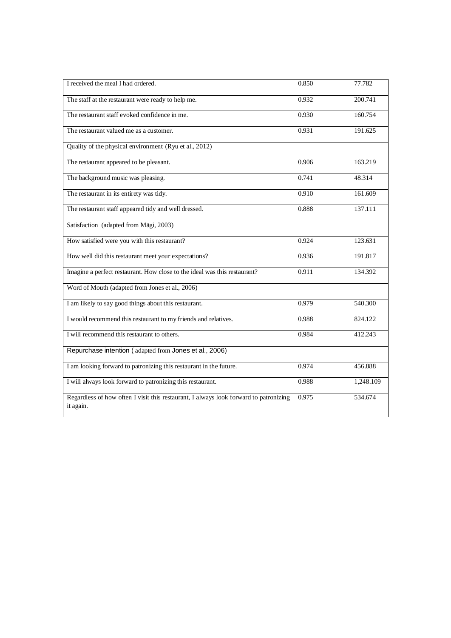| I received the meal I had ordered.                                                                 | 0.850 | 77.782    |
|----------------------------------------------------------------------------------------------------|-------|-----------|
| The staff at the restaurant were ready to help me.                                                 | 0.932 | 200.741   |
| The restaurant staff evoked confidence in me.                                                      | 0.930 | 160.754   |
| The restaurant valued me as a customer.                                                            | 0.931 | 191.625   |
| Quality of the physical environment (Ryu et al., 2012)                                             |       |           |
| The restaurant appeared to be pleasant.                                                            | 0.906 | 163.219   |
| The background music was pleasing.                                                                 | 0.741 | 48.314    |
| The restaurant in its entirety was tidy.                                                           | 0.910 | 161.609   |
| The restaurant staff appeared tidy and well dressed.                                               | 0.888 | 137.111   |
| Satisfaction (adapted from Mägi, 2003)                                                             |       |           |
| How satisfied were you with this restaurant?                                                       | 0.924 | 123.631   |
| How well did this restaurant meet your expectations?                                               | 0.936 | 191.817   |
| Imagine a perfect restaurant. How close to the ideal was this restaurant?                          | 0.911 | 134.392   |
| Word of Mouth (adapted from Jones et al., 2006)                                                    |       |           |
| I am likely to say good things about this restaurant.                                              | 0.979 | 540.300   |
| I would recommend this restaurant to my friends and relatives.                                     | 0.988 | 824.122   |
| I will recommend this restaurant to others.                                                        | 0.984 | 412.243   |
| Repurchase intention (adapted from Jones et al., 2006)                                             |       |           |
| I am looking forward to patronizing this restaurant in the future.                                 | 0.974 | 456.888   |
| I will always look forward to patronizing this restaurant.                                         | 0.988 | 1,248.109 |
| Regardless of how often I visit this restaurant, I always look forward to patronizing<br>it again. | 0.975 | 534.674   |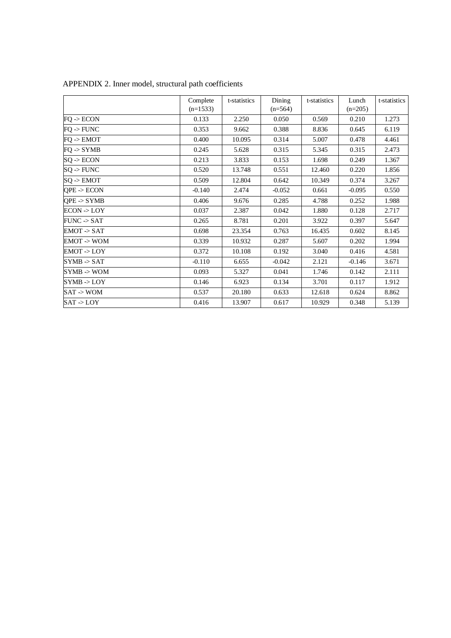|                        | Complete   | t-statistics | Dining    | t-statistics | Lunch     | t-statistics |
|------------------------|------------|--------------|-----------|--------------|-----------|--------------|
|                        | $(n=1533)$ |              | $(n=564)$ |              | $(n=205)$ |              |
| $FO \rightarrow ECON$  | 0.133      | 2.250        | 0.050     | 0.569        | 0.210     | 1.273        |
| $FO \rightarrow FUNC$  | 0.353      | 9.662        | 0.388     | 8.836        | 0.645     | 6.119        |
| $FQ \rightarrow EMOT$  | 0.400      | 10.095       | 0.314     | 5.007        | 0.478     | 4.461        |
| $FO \rightarrow SYMB$  | 0.245      | 5.628        | 0.315     | 5.345        | 0.315     | 2.473        |
| $SQ \rightarrow ECON$  | 0.213      | 3.833        | 0.153     | 1.698        | 0.249     | 1.367        |
| $SQ \rightarrow FUNC$  | 0.520      | 13.748       | 0.551     | 12.460       | 0.220     | 1.856        |
| $SO \rightarrow EMOT$  | 0.509      | 12.804       | 0.642     | 10.349       | 0.374     | 3.267        |
| $QPE$ -> $ECON$        | $-0.140$   | 2.474        | $-0.052$  | 0.661        | $-0.095$  | 0.550        |
| $QPE \rightarrow SYMB$ | 0.406      | 9.676        | 0.285     | 4.788        | 0.252     | 1.988        |
| ECON > LOY             | 0.037      | 2.387        | 0.042     | 1.880        | 0.128     | 2.717        |
| $FUNC \rightarrow SAT$ | 0.265      | 8.781        | 0.201     | 3.922        | 0.397     | 5.647        |
| EMOT > SAT             | 0.698      | 23.354       | 0.763     | 16.435       | 0.602     | 8.145        |
| EMOT > WOM             | 0.339      | 10.932       | 0.287     | 5.607        | 0.202     | 1.994        |
| EMOT > LOY             | 0.372      | 10.108       | 0.192     | 3.040        | 0.416     | 4.581        |
| SYMB > SAT             | $-0.110$   | 6.655        | $-0.042$  | 2.121        | $-0.146$  | 3.671        |
| $SYMB \rightarrow WOM$ | 0.093      | 5.327        | 0.041     | 1.746        | 0.142     | 2.111        |
| SYMB > LOY             | 0.146      | 6.923        | 0.134     | 3.701        | 0.117     | 1.912        |
| $SAT \rightarrow WOM$  | 0.537      | 20.180       | 0.633     | 12.618       | 0.624     | 8.862        |
| SAT > LOY              | 0.416      | 13.907       | 0.617     | 10.929       | 0.348     | 5.139        |

| APPENDIX 2. Inner model, structural path coefficients |  |  |  |  |  |
|-------------------------------------------------------|--|--|--|--|--|
|-------------------------------------------------------|--|--|--|--|--|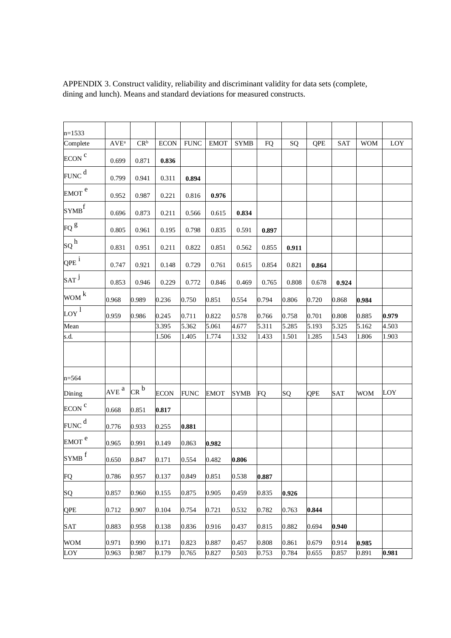| $n=1533$            |                             |                     |             |             |             |             |           |       |            |            |            |       |
|---------------------|-----------------------------|---------------------|-------------|-------------|-------------|-------------|-----------|-------|------------|------------|------------|-------|
| Complete            | $\mathbf{AVE}^{\mathrm{a}}$ | $CR^b$              | $ECON$      | <b>FUNC</b> | <b>EMOT</b> | <b>SYMB</b> | <b>FQ</b> | SQ    | QPE        | SAT        | <b>WOM</b> | LOY   |
| ECON <sup>C</sup>   | 0.699                       | 0.871               | 0.836       |             |             |             |           |       |            |            |            |       |
| $FUNC$ <sup>d</sup> | 0.799                       | 0.941               | 0.311       | 0.894       |             |             |           |       |            |            |            |       |
| EMOT <sup>e</sup>   | 0.952                       | 0.987               | 0.221       | 0.816       | 0.976       |             |           |       |            |            |            |       |
| $SYMB$ <sup>f</sup> | 0.696                       | 0.873               | 0.211       | 0.566       | 0.615       | 0.834       |           |       |            |            |            |       |
| $FQ$ <sup>g</sup>   | 0.805                       | 0.961               | 0.195       | 0.798       | 0.835       | 0.591       | 0.897     |       |            |            |            |       |
| ${SQ}^{\,h}$        | 0.831                       | 0.951               | 0.211       | 0.822       | 0.851       | 0.562       | 0.855     | 0.911 |            |            |            |       |
| $QPE$ <sup>i</sup>  | 0.747                       | 0.921               | 0.148       | 0.729       | 0.761       | 0.615       | 0.854     | 0.821 | 0.864      |            |            |       |
| $\text{SAT}^{\,j}$  | 0.853                       | 0.946               | 0.229       | 0.772       | 0.846       | 0.469       | 0.765     | 0.808 | 0.678      | 0.924      |            |       |
| $WOM$ <sup>k</sup>  | 0.968                       | 0.989               | 0.236       | 0.750       | 0.851       | 0.554       | 0.794     | 0.806 | 0.720      | 0.868      | 0.984      |       |
| $\log^1$            | 0.959                       | 0.986               | 0.245       | 0.711       | 0.822       | 0.578       | 0.766     | 0.758 | 0.701      | 0.808      | 0.885      | 0.979 |
| Mean                |                             |                     | 3.395       | 5.362       | 5.061       | 4.677       | 5.311     | 5.285 | 5.193      | 5.325      | 5.162      | 4.503 |
| s.d.                |                             |                     | 1.506       | 1.405       | 1.774       | 1.332       | 1.433     | 1.501 | 1.285      | 1.543      | 1.806      | 1.903 |
|                     |                             |                     |             |             |             |             |           |       |            |            |            |       |
| $n = 564$           |                             |                     |             |             |             |             |           |       |            |            |            |       |
| Dining              | $AVE^{a}$                   | $CR^{\overline{b}}$ | <b>ECON</b> | <b>FUNC</b> | EMOT        | SYMB        | <b>FQ</b> | SQ    | <b>QPE</b> | <b>SAT</b> | <b>WOM</b> | LOY   |
| ECON <sup>C</sup>   | 0.668                       | 0.851               | 0.817       |             |             |             |           |       |            |            |            |       |
| $FUNC$ <sup>d</sup> | 0.776                       | 0.933               | 0.255       | 0.881       |             |             |           |       |            |            |            |       |
| EMOT <sup>e</sup>   | 0.965                       | 0.991               | 0.149       | 0.863       | 0.982       |             |           |       |            |            |            |       |
| $SYMB$ <sup>f</sup> | 0.650                       | 0.847               | 0.171       | 0.554       | 0.482       | 0.806       |           |       |            |            |            |       |
| FQ                  | 0.786                       | 0.957               | 0.137       | 0.849       | 0.851       | 0.538       | 0.887     |       |            |            |            |       |
| SQ                  | 0.857                       | 0.960               | 0.155       | 0.875       | 0.905       | 0.459       | 0.835     | 0.926 |            |            |            |       |
| <b>QPE</b>          | 0.712                       | 0.907               | 0.104       | 0.754       | 0.721       | 0.532       | 0.782     | 0.763 | 0.844      |            |            |       |
| <b>SAT</b>          | 0.883                       | 0.958               | 0.138       | 0.836       | 0.916       | 0.437       | 0.815     | 0.882 | 0.694      | 0.940      |            |       |
| <b>WOM</b>          | 0.971                       | 0.990               | 0.171       | 0.823       | 0.887       | 0.457       | 0.808     | 0.861 | 0.679      | 0.914      | 0.985      |       |
| LOY                 | 0.963                       | 0.987               | 0.179       | 0.765       | 0.827       | 0.503       | 0.753     | 0.784 | 0.655      | 0.857      | 0.891      | 0.981 |

APPENDIX 3. Construct validity, reliability and discriminant validity for data sets (complete, dining and lunch). Means and standard deviations for measured constructs.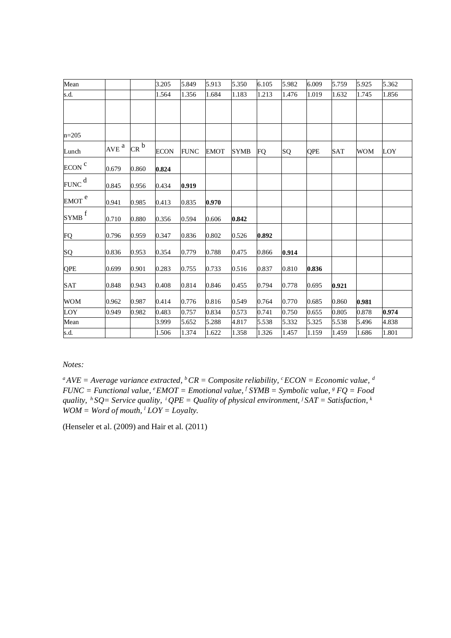| Mean                |                  |                     | 3.205       | 5.849       | 5.913       | 5.350       | 6.105     | 5.982 | 6.009      | 5.759      | 5.925      | 5.362 |
|---------------------|------------------|---------------------|-------------|-------------|-------------|-------------|-----------|-------|------------|------------|------------|-------|
| s.d.                |                  |                     | 1.564       | 1.356       | 1.684       | 1.183       | 1.213     | 1.476 | 1.019      | 1.632      | 1.745      | 1.856 |
|                     |                  |                     |             |             |             |             |           |       |            |            |            |       |
|                     |                  |                     |             |             |             |             |           |       |            |            |            |       |
| $n=205$             |                  |                     |             |             |             |             |           |       |            |            |            |       |
| Lunch               | AVE <sup>a</sup> | $CR^{\overline{b}}$ | <b>ECON</b> | <b>FUNC</b> | <b>EMOT</b> | <b>SYMB</b> | <b>FO</b> | SQ    | <b>QPE</b> | <b>SAT</b> | <b>WOM</b> | LOY   |
| ECON <sup>C</sup>   | 0.679            | 0.860               | 0.824       |             |             |             |           |       |            |            |            |       |
| FUNC <sup>d</sup>   | 0.845            | 0.956               | 0.434       | 0.919       |             |             |           |       |            |            |            |       |
| EMOT <sup>e</sup>   | 0.941            | 0.985               | 0.413       | 0.835       | 0.970       |             |           |       |            |            |            |       |
| $SYMB$ <sup>f</sup> | 0.710            | 0.880               | 0.356       | 0.594       | 0.606       | 0.842       |           |       |            |            |            |       |
| FQ                  | 0.796            | 0.959               | 0.347       | 0.836       | 0.802       | 0.526       | 0.892     |       |            |            |            |       |
| SQ                  | 0.836            | 0.953               | 0.354       | 0.779       | 0.788       | 0.475       | 0.866     | 0.914 |            |            |            |       |
| QPE                 | 0.699            | 0.901               | 0.283       | 0.755       | 0.733       | 0.516       | 0.837     | 0.810 | 0.836      |            |            |       |
| SAT                 | 0.848            | 0.943               | 0.408       | 0.814       | 0.846       | 0.455       | 0.794     | 0.778 | 0.695      | 0.921      |            |       |
| <b>WOM</b>          | 0.962            | 0.987               | 0.414       | 0.776       | 0.816       | 0.549       | 0.764     | 0.770 | 0.685      | 0.860      | 0.981      |       |
| LOY                 | 0.949            | 0.982               | 0.483       | 0.757       | 0.834       | 0.573       | 0.741     | 0.750 | 0.655      | 0.805      | 0.878      | 0.974 |
| Mean                |                  |                     | 3.999       | 5.652       | 5.288       | 4.817       | 5.538     | 5.332 | 5.325      | 5.538      | 5.496      | 4.838 |
| s.d.                |                  |                     | 1.506       | 1.374       | 1.622       | 1.358       | 1.326     | 1.457 | 1.159      | 1.459      | 1.686      | 1.801 |

*Notes:*

*<sup>a</sup>AVE = Average variance extracted, <sup>b</sup>CR = Composite reliability, <sup>c</sup>ECON = Economic value,<sup>d</sup>*  $FUNC = Functional value, <sup>e</sup> EMOT = Emotional value, <sup>f</sup> SYMB = Symbolic value, <sup>g</sup> FQ = Food$ *quality,<sup>h</sup> SQ= Service quality,<sup>i</sup> QPE = Quality of physical environment, <sup>j</sup> SAT = Satisfaction, <sup>k</sup>*  $WOM = Word of mouth, <sup>1</sup> *LOY* = *Logalty*.$ 

(Henseler et al. (2009) and Hair et al. (2011)